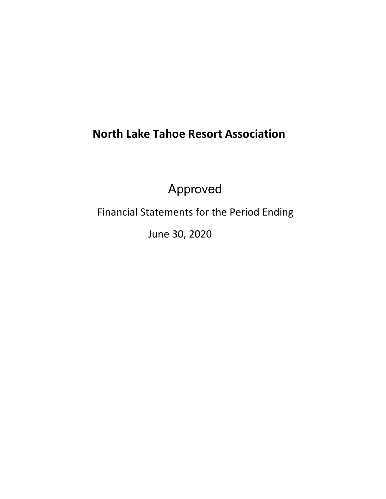# **North Lake Tahoe Resort Association**

Approved

Financial Statements for the Period Ending

June 30, 2020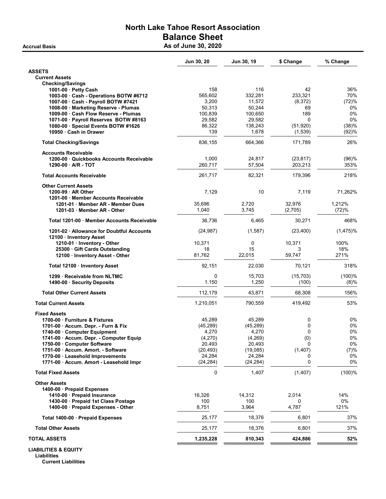## North Lake Tahoe Resort Association Balance Sheet Accrual Basis **As of June 30, 2020**

|                                                           | Jun 30, 20  | Jun 30, 19 | \$ Change | % Change    |
|-----------------------------------------------------------|-------------|------------|-----------|-------------|
| <b>ASSETS</b>                                             |             |            |           |             |
| <b>Current Assets</b>                                     |             |            |           |             |
| <b>Checking/Savings</b>                                   |             |            |           |             |
| 1001-00 Petty Cash                                        | 158         | 116        | 42        | 36%         |
| 1003-00 Cash - Operations BOTW #6712                      | 565,602     | 332,281    | 233,321   | 70%         |
| 1007-00 Cash - Payroll BOTW #7421                         | 3,200       | 11,572     | (8,372)   | (72)%       |
| 1008-00 Marketing Reserve - Plumas                        | 50,313      | 50,244     | 69        | 0%          |
| 1009-00 Cash Flow Reserve - Plumas                        | 100,839     | 100,650    | 189       | 0%          |
| 1071-00 · Payroll Reserves BOTW #8163                     | 29,582      | 29,582     | $\Omega$  | 0%          |
| 1080-00 · Special Events BOTW #1626                       | 86,322      | 138,243    | (51, 920) | (38)%       |
| 10950 Cash in Drawer                                      | 139         | 1,678      | (1,539)   | (92)%       |
| <b>Total Checking/Savings</b>                             | 836,155     | 664,366    | 171,789   | 26%         |
| <b>Accounts Receivable</b>                                |             |            |           |             |
| 1200-00 Quickbooks Accounts Receivable                    | 1,000       | 24,817     | (23, 817) | (96)%       |
| 1290-00 A/R - TOT                                         | 260,717     | 57,504     | 203,213   | 353%        |
| <b>Total Accounts Receivable</b>                          | 261,717     | 82,321     | 179,396   | 218%        |
| <b>Other Current Assets</b>                               |             |            |           |             |
| $1200-99$ $\cdot$ AR Other                                | 7,129       | 10         | 7,119     | 71,262%     |
| 1201-00 Member Accounts Receivable                        |             |            |           |             |
| 1201-01 Member AR - Member Dues                           | 35,696      | 2,720      | 32,976    | 1,212%      |
| 1201-03 Member AR - Other                                 | 1,040       | 3,745      | (2,705)   | (72)%       |
| Total 1201-00 · Member Accounts Receivable                | 36,736      | 6,465      | 30,271    | 468%        |
| 1201-02 Allowance for Doubtful Accounts                   | (24, 987)   | (1,587)    | (23, 400) | $(1,475)\%$ |
| 12100 · Inventory Asset                                   | 10,371      | 0          | 10,371    | 100%        |
| 1210-01 Inventory - Other<br>25300 Gift Cards Outstanding | 18          | 15         | 3         | 18%         |
| 12100 · Inventory Asset - Other                           | 81.762      | 22,015     | 59,747    | 271%        |
|                                                           |             |            |           |             |
| Total 12100 · Inventory Asset                             | 92,151      | 22,030     | 70,121    | 318%        |
| 1299 Receivable from NLTMC                                | 0           | 15,703     | (15, 703) | (100)%      |
| 1490-00 · Security Deposits                               | 1,150       | 1,250      | (100)     | (8)%        |
| <b>Total Other Current Assets</b>                         | 112,179     | 43,871     | 68,308    | 156%        |
| <b>Total Current Assets</b>                               | 1,210,051   | 790,559    | 419,492   | 53%         |
| <b>Fixed Assets</b>                                       |             |            |           |             |
| 1700-00 Furniture & Fixtures                              | 45,289      | 45,289     | 0         | 0%          |
| 1701-00 · Accum. Depr. - Furn & Fix                       | (45.289)    | (45.289)   | 0         | 0%          |
| 1740-00 Computer Equipment                                | 4,270       | 4,270      | 0         | 0%          |
| 1741-00 · Accum. Depr. - Computer Equip                   | (4,270)     | (4, 269)   | (0)       | $0\%$       |
| 1750-00 Computer Software                                 | 20,493      | 20,493     | 0         | 0%          |
| 1751-00 · Accum. Amort. - Software                        | (20, 493)   | (19,085)   | (1, 407)  | (7)%        |
| 1770-00 · Leasehold Improvements                          | 24,284      | 24,284     | 0         | 0%          |
| 1771-00 · Accum. Amort - Leasehold Impr                   | (24, 284)   | (24, 284)  | 0         | 0%          |
| <b>Total Fixed Assets</b>                                 | $\mathbf 0$ | 1,407      | (1, 407)  | $(100)$ %   |
| <b>Other Assets</b>                                       |             |            |           |             |
| 1400-00 · Prepaid Expenses                                |             |            |           |             |
| 1410-00 · Prepaid Insurance                               | 16,326      | 14,312     | 2,014     | 14%         |
| 1430-00 Prepaid 1st Class Postage                         | 100         | 100        | 0         | 0%          |
| 1400-00 · Prepaid Expenses - Other                        | 8,751       | 3,964      | 4,787     | 121%        |
| Total 1400-00 · Prepaid Expenses                          | 25,177      | 18,376     | 6,801     | 37%         |
| <b>Total Other Assets</b>                                 | 25,177      | 18,376     | 6,801     | 37%         |
| <b>TOTAL ASSETS</b>                                       | 1,235,228   | 810,343    | 424,886   | 52%         |
| <b>LIABILITIES &amp; EQUITY</b>                           |             |            |           |             |

Liabilities Current Liabilities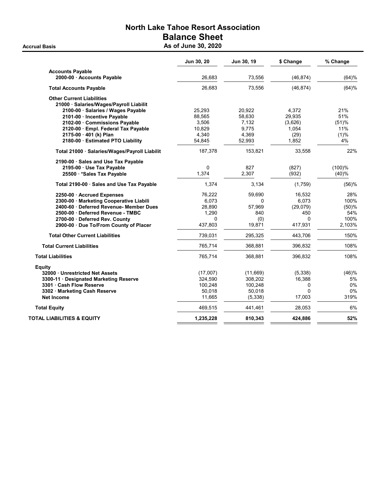## North Lake Tahoe Resort Association Balance Sheet Accrual Basis **As of June 30, 2020**

|                                               | Jun 30, 20 | Jun 30, 19 | \$ Change    | % Change |
|-----------------------------------------------|------------|------------|--------------|----------|
| <b>Accounts Payable</b>                       |            |            |              |          |
| 2000-00 · Accounts Payable                    | 26,683     | 73,556     | (46, 874)    | (64)%    |
| <b>Total Accounts Payable</b>                 | 26,683     | 73,556     | (46, 874)    | (64)%    |
| <b>Other Current Liabilities</b>              |            |            |              |          |
| 21000 · Salaries/Wages/Payroll Liabilit       |            |            |              |          |
| 2100-00 · Salaries / Wages Payable            | 25,293     | 20,922     | 4,372        | 21%      |
| 2101-00 · Incentive Payable                   | 88,565     | 58,630     | 29,935       | 51%      |
| 2102-00 Commissions Payable                   | 3,506      | 7,132      | (3,626)      | (51)%    |
| 2120-00 · Empl. Federal Tax Payable           | 10,829     | 9,775      | 1,054        | 11%      |
| 2175-00 · 401 (k) Plan                        | 4.340      | 4,369      | (29)         | (1)%     |
| 2180-00 · Estimated PTO Liability             | 54,845     | 52,993     | 1,852        | 4%       |
| Total 21000 · Salaries/Wages/Payroll Liabilit | 187,378    | 153,821    | 33,558       | 22%      |
| 2190-00 Sales and Use Tax Payable             |            |            |              |          |
| 2195-00 · Use Tax Payable                     | 0          | 827        | (827)        | (100)%   |
| 25500 · * Sales Tax Payable                   | 1,374      | 2,307      | (932)        | (40)%    |
| Total 2190-00 · Sales and Use Tax Payable     | 1,374      | 3,134      | (1,759)      | (56)%    |
| 2250-00 Accrued Expenses                      | 76,222     | 59,690     | 16,532       | 28%      |
| 2300-00 · Marketing Cooperative Liabili       | 6,073      | 0          | 6,073        | 100%     |
| 2400-60 · Deferred Revenue- Member Dues       | 28,890     | 57,969     | (29,079)     | (50)%    |
| 2500-00 Deferred Revenue - TMBC               | 1,290      | 840        | 450          | 54%      |
| 2700-00 Deferred Rev. County                  | 0          | (0)        | <sup>0</sup> | 100%     |
| 2900-00 Due To/From County of Placer          | 437,803    | 19,871     | 417,931      | 2,103%   |
| <b>Total Other Current Liabilities</b>        | 739,031    | 295,325    | 443,706      | 150%     |
| <b>Total Current Liabilities</b>              | 765,714    | 368,881    | 396,832      | 108%     |
| <b>Total Liabilities</b>                      | 765,714    | 368,881    | 396,832      | 108%     |
| <b>Equity</b>                                 |            |            |              |          |
| 32000 · Unrestricted Net Assets               | (17,007)   | (11,669)   | (5, 338)     | (46)%    |
| 3300-11 Designated Marketing Reserve          | 324,590    | 308,202    | 16,388       | 5%       |
| 3301 · Cash Flow Reserve                      | 100,248    | 100,248    | 0            | 0%       |
| 3302 · Marketing Cash Reserve                 | 50,018     | 50,018     | 0            | 0%       |
| <b>Net Income</b>                             | 11,665     | (5, 338)   | 17,003       | 319%     |
| <b>Total Equity</b>                           | 469,515    | 441,461    | 28,053       | 6%       |
| TOTAL LIABILITIES & EQUITY                    | 1,235,228  | 810,343    | 424,886      | 52%      |
|                                               |            |            |              |          |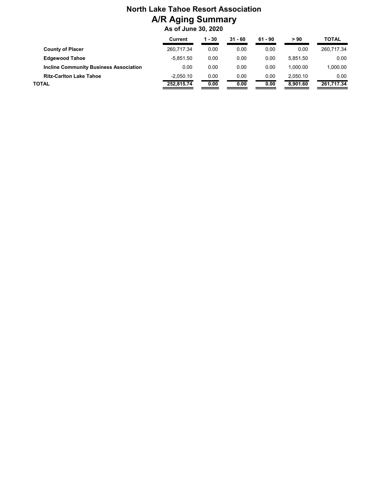## **North Lake Tahoe Resort Association A/R Aging Summary As of June 30, 2020**

|                                               | Current     | 1 - 30 | $31 - 60$ | $61 - 90$ | > 90     | TOTAL      |
|-----------------------------------------------|-------------|--------|-----------|-----------|----------|------------|
| <b>County of Placer</b>                       | 260.717.34  | 0.00   | 0.00      | 0.00      | 0.00     | 260.717.34 |
| <b>Edgewood Tahoe</b>                         | $-5.851.50$ | 0.00   | 0.00      | 0.00      | 5.851.50 | 0.00       |
| <b>Incline Community Business Association</b> | 0.00        | 0.00   | 0.00      | 0.00      | 1.000.00 | 1,000.00   |
| <b>Ritz-Carlton Lake Tahoe</b>                | $-2.050.10$ | 0.00   | 0.00      | 0.00      | 2.050.10 | 0.00       |
| TOTAL                                         | 252.815.74  | 0.00   | 0.00      | 0.00      | 8.901.60 | 261,717.34 |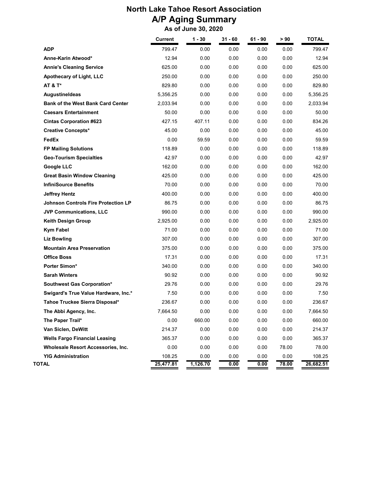## **North Lake Tahoe Resort Association A/P Aging Summary As of June 30, 2020**

|                                            | Current   | $1 - 30$ | $31 - 60$ | 61 - 90 | > 90  | <b>TOTAL</b> |
|--------------------------------------------|-----------|----------|-----------|---------|-------|--------------|
| <b>ADP</b>                                 | 799.47    | 0.00     | 0.00      | 0.00    | 0.00  | 799.47       |
| Anne-Karin Atwood*                         | 12.94     | 0.00     | 0.00      | 0.00    | 0.00  | 12.94        |
| <b>Annie's Cleaning Service</b>            | 625.00    | 0.00     | 0.00      | 0.00    | 0.00  | 625.00       |
| <b>Apothecary of Light, LLC</b>            | 250.00    | 0.00     | 0.00      | 0.00    | 0.00  | 250.00       |
| <b>AT &amp; T*</b>                         | 829.80    | 0.00     | 0.00      | 0.00    | 0.00  | 829.80       |
| <b>AugustineIdeas</b>                      | 5,356.25  | 0.00     | 0.00      | 0.00    | 0.00  | 5,356.25     |
| <b>Bank of the West Bank Card Center</b>   | 2,033.94  | 0.00     | 0.00      | 0.00    | 0.00  | 2,033.94     |
| <b>Caesars Entertainment</b>               | 50.00     | 0.00     | 0.00      | 0.00    | 0.00  | 50.00        |
| <b>Cintas Corporation #623</b>             | 427.15    | 407.11   | 0.00      | 0.00    | 0.00  | 834.26       |
| <b>Creative Concepts*</b>                  | 45.00     | 0.00     | 0.00      | 0.00    | 0.00  | 45.00        |
| FedEx                                      | 0.00      | 59.59    | 0.00      | 0.00    | 0.00  | 59.59        |
| <b>FP Mailing Solutions</b>                | 118.89    | 0.00     | 0.00      | 0.00    | 0.00  | 118.89       |
| <b>Geo-Tourism Specialties</b>             | 42.97     | 0.00     | 0.00      | 0.00    | 0.00  | 42.97        |
| <b>Google LLC</b>                          | 162.00    | 0.00     | 0.00      | 0.00    | 0.00  | 162.00       |
| <b>Great Basin Window Cleaning</b>         | 425.00    | 0.00     | 0.00      | 0.00    | 0.00  | 425.00       |
| <b>InfiniSource Benefits</b>               | 70.00     | 0.00     | 0.00      | 0.00    | 0.00  | 70.00        |
| <b>Jeffrey Hentz</b>                       | 400.00    | 0.00     | 0.00      | 0.00    | 0.00  | 400.00       |
| <b>Johnson Controls Fire Protection LP</b> | 86.75     | 0.00     | 0.00      | 0.00    | 0.00  | 86.75        |
| JVP Communications, LLC                    | 990.00    | 0.00     | 0.00      | 0.00    | 0.00  | 990.00       |
| Keith Design Group                         | 2,925.00  | 0.00     | 0.00      | 0.00    | 0.00  | 2,925.00     |
| <b>Kym Fabel</b>                           | 71.00     | 0.00     | 0.00      | 0.00    | 0.00  | 71.00        |
| <b>Liz Bowling</b>                         | 307.00    | 0.00     | 0.00      | 0.00    | 0.00  | 307.00       |
| <b>Mountain Area Preservation</b>          | 375.00    | 0.00     | 0.00      | 0.00    | 0.00  | 375.00       |
| <b>Office Boss</b>                         | 17.31     | 0.00     | 0.00      | 0.00    | 0.00  | 17.31        |
| Porter Simon*                              | 340.00    | 0.00     | 0.00      | 0.00    | 0.00  | 340.00       |
| <b>Sarah Winters</b>                       | 90.92     | 0.00     | 0.00      | 0.00    | 0.00  | 90.92        |
| Southwest Gas Corporation*                 | 29.76     | 0.00     | 0.00      | 0.00    | 0.00  | 29.76        |
| Swigard's True Value Hardware, Inc.*       | 7.50      | 0.00     | 0.00      | 0.00    | 0.00  | 7.50         |
| Tahoe Truckee Sierra Disposal*             | 236.67    | 0.00     | 0.00      | 0.00    | 0.00  | 236.67       |
| The Abbi Agency, Inc.                      | 7,664.50  | 0.00     | 0.00      | 0.00    | 0.00  | 7,664.50     |
| The Paper Trail*                           | 0.00      | 660.00   | 0.00      | 0.00    | 0.00  | 660.00       |
| Van Siclen, DeWitt                         | 214.37    | 0.00     | 0.00      | 0.00    | 0.00  | 214.37       |
| <b>Wells Fargo Financial Leasing</b>       | 365.37    | 0.00     | 0.00      | 0.00    | 0.00  | 365.37       |
| Wholesale Resort Accessories, Inc.         | 0.00      | 0.00     | 0.00      | 0.00    | 78.00 | 78.00        |
| <b>YIG Administration</b>                  | 108.25    | 0.00     | 0.00      | 0.00    | 0.00  | 108.25       |
| TOTAL                                      | 25,477.81 | 1,126.70 | 0.00      | 0.00    | 78.00 | 26,682.51    |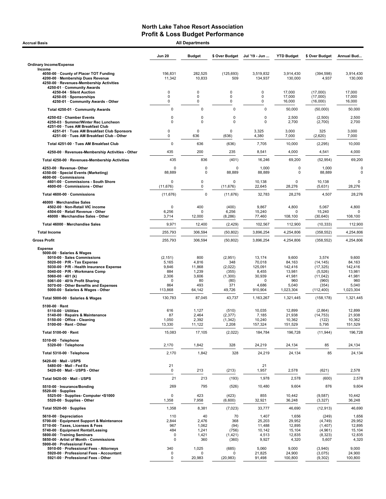| <b>All Departments</b><br><b>Accrual Basis</b>                                                                                                                                                                                                                                                                         |                                                                          |                                                                 |                                                                        |                                                                         |                                                                             |                                                                                         |                                                                             |  |  |
|------------------------------------------------------------------------------------------------------------------------------------------------------------------------------------------------------------------------------------------------------------------------------------------------------------------------|--------------------------------------------------------------------------|-----------------------------------------------------------------|------------------------------------------------------------------------|-------------------------------------------------------------------------|-----------------------------------------------------------------------------|-----------------------------------------------------------------------------------------|-----------------------------------------------------------------------------|--|--|
|                                                                                                                                                                                                                                                                                                                        | <b>Jun 20</b>                                                            | <b>Budget</b>                                                   | \$ Over Budget                                                         | Jul '19 - Jun                                                           | <b>YTD Budget</b>                                                           | \$ Over Budget                                                                          | Annual Bud                                                                  |  |  |
| <b>Ordinary Income/Expense</b>                                                                                                                                                                                                                                                                                         |                                                                          |                                                                 |                                                                        |                                                                         |                                                                             |                                                                                         |                                                                             |  |  |
| Income<br>4050-00 County of Placer TOT Funding<br>4200-00 · Membership Dues Revenue<br>4250-00 · Revenues-Membership Activities<br>4250-01 · Community Awards                                                                                                                                                          | 156,831<br>11,342                                                        | 282,525<br>10,833                                               | (125, 693)<br>509                                                      | 3,519,832<br>134,937                                                    | 3,914,430<br>130,000                                                        | (394, 598)<br>4,937                                                                     | 3,914,430<br>130,000                                                        |  |  |
| 4250-04 · Silent Auction<br>4250-05 · Sponsorships<br>4250-01 · Community Awards - Other                                                                                                                                                                                                                               | 0<br>0<br>0                                                              | $\mathbf 0$<br>0<br>$\mathbf 0$                                 | 0<br>0<br>0                                                            | $\mathbf 0$<br>0<br>0                                                   | 17,000<br>17,000<br>16,000                                                  | (17,000)<br>(17,000)<br>(16,000)                                                        | 17,000<br>17,000<br>16,000                                                  |  |  |
| Total 4250-01 · Community Awards                                                                                                                                                                                                                                                                                       | $\mathbf 0$                                                              | $\mathbf 0$                                                     | $\mathbf 0$                                                            | 0                                                                       | 50,000                                                                      | (50,000)                                                                                | 50,000                                                                      |  |  |
| 4250-02 · Chamber Events<br>4250-03 · Summer/Winter Rec Luncheon                                                                                                                                                                                                                                                       | $\mathbf 0$<br>$\mathbf 0$                                               | 0<br>$\mathbf 0$                                                | 0<br>$\mathbf 0$                                                       | 0<br>0                                                                  | 2,500<br>2,700                                                              | (2,500)<br>(2,700)                                                                      | 2,500<br>2,700                                                              |  |  |
| 4251-00 · Tues AM Breakfast Club<br>4251-01 · Tues AM Breakfast Club Sponsors<br>4251-00 · Tues AM Breakfast Club - Other                                                                                                                                                                                              | 0<br>0                                                                   | $\mathbf 0$<br>636                                              | 0<br>(636)                                                             | 3,325<br>4,380                                                          | 3,000<br>7,000                                                              | 325<br>(2,620)                                                                          | 3,000<br>7,000                                                              |  |  |
| Total 4251-00 · Tues AM Breakfast Club                                                                                                                                                                                                                                                                                 | $\mathbf 0$                                                              | 636                                                             | (636)                                                                  | 7,705                                                                   | 10,000                                                                      | (2, 295)                                                                                | 10,000                                                                      |  |  |
| 4250-00 · Revenues-Membership Activities - Other                                                                                                                                                                                                                                                                       | 435                                                                      | 200                                                             | 235                                                                    | 8,541                                                                   | 4,000                                                                       | 4,541                                                                                   | 4,000                                                                       |  |  |
| Total 4250-00 · Revenues-Membership Activities                                                                                                                                                                                                                                                                         | 435                                                                      | 836                                                             | (401)                                                                  | 16,246                                                                  | 69,200                                                                      | (52, 954)                                                                               | 69,200                                                                      |  |  |
| 4253-00 · Revenue- Other<br>4350-00 · Special Events (Marketing)<br>4600-00 Commissions                                                                                                                                                                                                                                | $\Omega$<br>88,889                                                       | 0<br>$\Omega$                                                   | $\Omega$<br>88,889                                                     | 1,000<br>88,889                                                         | 0<br>0                                                                      | 1,000<br>88,889                                                                         | 0<br>0                                                                      |  |  |
| 4601-00 Commissions - South Shore<br>4600-00 · Commissions - Other                                                                                                                                                                                                                                                     | 0<br>(11, 676)                                                           | 0<br>0                                                          | 0<br>(11, 676)                                                         | 10,138<br>22,645                                                        | $\mathbf 0$<br>28,276                                                       | 10,138<br>(5,631)                                                                       | 0<br>28,276                                                                 |  |  |
| Total 4600-00 · Commissions                                                                                                                                                                                                                                                                                            | (11, 676)                                                                | $\Omega$                                                        | (11, 676)                                                              | 32,783                                                                  | 28,276                                                                      | 4,507                                                                                   | 28,276                                                                      |  |  |
| 46000 · Merchandise Sales<br>4502-00 · Non-Retail VIC income<br>4504-00 · Retail Revenue - Other<br>46000 · Merchandise Sales - Other                                                                                                                                                                                  | 0<br>6,256<br>3,714                                                      | 400<br>$\Omega$<br>12,000                                       | (400)<br>6,256<br>(8, 286)                                             | 9,867<br>15,240<br>77,460                                               | 4,800<br>0<br>108,100                                                       | 5,067<br>15,240<br>(30, 640)                                                            | 4,800<br>$\Omega$<br>108,100                                                |  |  |
| Total 46000 · Merchandise Sales                                                                                                                                                                                                                                                                                        | 9,971                                                                    | 12,400                                                          | (2, 429)                                                               | 102,567                                                                 | 112,900                                                                     | (10, 333)                                                                               | 112,900                                                                     |  |  |
| <b>Total Income</b>                                                                                                                                                                                                                                                                                                    | 255,793                                                                  | 306,594                                                         | (50, 802)                                                              | 3,896,254                                                               | 4,254,806                                                                   | (358, 552)                                                                              | 4,254,806                                                                   |  |  |
| <b>Gross Profit</b>                                                                                                                                                                                                                                                                                                    | 255,793                                                                  | 306,594                                                         | (50, 802)                                                              | 3,896,254                                                               | 4,254,806                                                                   | (358, 552)                                                                              | 4,254,806                                                                   |  |  |
| <b>Expense</b>                                                                                                                                                                                                                                                                                                         |                                                                          |                                                                 |                                                                        |                                                                         |                                                                             |                                                                                         |                                                                             |  |  |
| 5000-00 · Salaries & Wages<br>5010-00 · Sales Commissions<br>5020-00 $\cdot$ P/R - Tax Expense<br>5030-00 · P/R - Health Insurance Expense<br>5040-00 · P/R - Workmans Comp<br>5060-00 $\cdot$ 401 (k)<br>5061-00 · 401k Profit Sharing<br>5070-00 · Other Benefits and Expenses<br>5000-00 · Salaries & Wages - Other | (2, 151)<br>5,165<br>9,846<br>884<br>2,306<br>$\Omega$<br>864<br>113,868 | 800<br>4,816<br>11,868<br>1,239<br>3,606<br>80<br>493<br>64,142 | (2,951)<br>348<br>(2,022)<br>(355)<br>(1,300)<br>(80)<br>371<br>49,726 | 13,174<br>70,018<br>125,091<br>8,455<br>30,939<br>0<br>4,686<br>910,904 | 9,600<br>84,163<br>142,416<br>13,981<br>41,981<br>960<br>5,040<br>1,023,304 | 3,574<br>(14, 145)<br>(17, 325)<br>(5,526)<br>(11, 042)<br>(960)<br>(354)<br>(112, 400) | 9,600<br>84,163<br>142,416<br>13,981<br>41,981<br>960<br>5,040<br>1,023,304 |  |  |
| Total 5000-00 · Salaries & Wages                                                                                                                                                                                                                                                                                       | 130,783                                                                  | 87,045                                                          | 43,737                                                                 | 1,163,267                                                               | 1,321,445                                                                   | (158, 178)                                                                              | 1,321,445                                                                   |  |  |
| 5100-00 · Rent<br>$5110-00 \cdot$ Utilities<br>5140-00 · Repairs & Maintenance<br>5150-00 · Office - Cleaning<br>$5100-00 \cdot$ Rent - Other                                                                                                                                                                          | 616<br>87<br>1,050<br>13,330                                             | 1,127<br>2,464<br>2,392<br>11,122                               | (510)<br>(2, 377)<br>(1, 342)<br>2,208                                 | 10,035<br>7,185<br>10,240<br>157,324                                    | 12,899<br>21,938<br>10,362<br>151,529                                       | (2,864)<br>(14, 753)<br>(122)<br>5,795                                                  | 12,899<br>21,938<br>10,362<br>151,529                                       |  |  |
| Total 5100-00 · Rent                                                                                                                                                                                                                                                                                                   | 15,083                                                                   | 17,105                                                          | (2,022)                                                                | 184,784                                                                 | 196,728                                                                     | (11, 944)                                                                               | 196,728                                                                     |  |  |
| 5310-00 · Telephone<br>5320-00 · Telephone                                                                                                                                                                                                                                                                             | 2,170                                                                    | 1,842                                                           | 328                                                                    | 24,219                                                                  | 24,134                                                                      | 85                                                                                      | 24,134                                                                      |  |  |
| Total 5310-00 · Telephone                                                                                                                                                                                                                                                                                              | 2,170                                                                    | 1,842                                                           | 328                                                                    | 24,219                                                                  | 24,134                                                                      | 85                                                                                      | 24,134                                                                      |  |  |
| 5420-00 Mail - USPS<br>5480-00 · Mail - Fed Ex<br>5420-00 · Mail - USPS - Other                                                                                                                                                                                                                                        | 21<br>0                                                                  | 213                                                             | (213)                                                                  | 21<br>1,957                                                             | 2,578                                                                       | (621)                                                                                   | 2,578                                                                       |  |  |
| Total 5420-00 · Mail - USPS                                                                                                                                                                                                                                                                                            | 21                                                                       | 213                                                             | (193)                                                                  | 1,978                                                                   | 2,578                                                                       | (600)                                                                                   | 2,578                                                                       |  |  |
| 5510-00 · Insurance/Bonding                                                                                                                                                                                                                                                                                            | 269                                                                      | 795                                                             | (526)                                                                  | 10,480                                                                  | 9,604                                                                       | 876                                                                                     | 9,604                                                                       |  |  |
| $5520-00 \cdot$ Supplies<br>5525-00 · Supplies- Computer <\$1000<br>5520-00 · Supplies - Other                                                                                                                                                                                                                         | $\mathbf 0$<br>1,358                                                     | 423<br>7,958                                                    | (423)<br>(6,600)                                                       | 855<br>32,921                                                           | 10,442<br>36,248                                                            | (9, 587)<br>(3, 327)                                                                    | 10,442<br>36,248                                                            |  |  |
| Total 5520-00 · Supplies                                                                                                                                                                                                                                                                                               | 1,358                                                                    | 8,381                                                           | (7,023)                                                                | 33,777                                                                  | 46,690                                                                      | (12, 913)                                                                               | 46,690                                                                      |  |  |
| 5610-00 · Depreciation<br>5700-00 · Equipment Support & Maintenance<br>5710-00 · Taxes, Licenses & Fees<br>5740-00 · Equipment Rental/Leasing<br>5800-00 · Training Seminars<br>5850-00 · Artist of Month - Commissions                                                                                                | 110<br>2,844<br>967<br>484<br>0<br>0                                     | 40<br>2,476<br>1,062<br>1,241<br>1,421<br>360                   | 70<br>368<br>(94)<br>(756)<br>(1, 421)<br>(360)                        | 1,407<br>25,203<br>11,488<br>10,142<br>4,513<br>9,927                   | 1,656<br>29,952<br>12,895<br>15,104<br>12,835<br>4,320                      | (249)<br>(4,749)<br>(1, 407)<br>(4,961)<br>(8,323)<br>5,607                             | 1,656<br>29,952<br>12,895<br>15,104<br>12,835<br>4,320                      |  |  |
| 5900-00 · Professional Fees<br>5910-00 · Professional Fees - Attorneys<br>5920-00 · Professional Fees - Accountant<br>5921-00 · Professional Fees - Other                                                                                                                                                              | 340<br>0<br>0                                                            | 1,025<br>0<br>20,983                                            | (685)<br>0<br>(20, 983)                                                | 5,060<br>21,825<br>91,498                                               | 9,000<br>24,900<br>100,800                                                  | (3,940)<br>(3,075)<br>(9,302)                                                           | 9,000<br>24,900<br>100,800                                                  |  |  |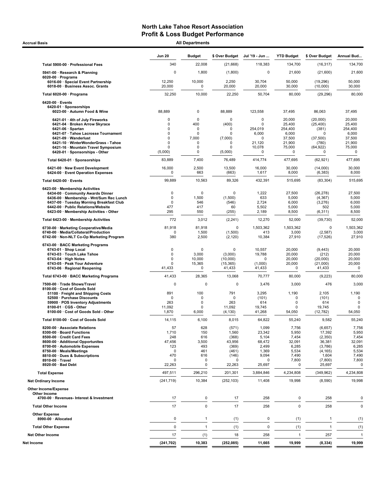Accrual Basis **All Departments** All Departments and All Departments and All Departments and All Departments and All Departments and All Departments and All Departments and All Departments and All Departments and All Depart

| All Departments |  |
|-----------------|--|

|                                                                                                                                                                                                                                                                             | <b>Jun 20</b>                                                  | <b>Budget</b>                                                  | \$ Over Budget                                                                  | Jul '19 - Jun                                                                          | <b>YTD Budget</b>                                                          | \$ Over Budget                                                                               | Annual Bud                                                                 |
|-----------------------------------------------------------------------------------------------------------------------------------------------------------------------------------------------------------------------------------------------------------------------------|----------------------------------------------------------------|----------------------------------------------------------------|---------------------------------------------------------------------------------|----------------------------------------------------------------------------------------|----------------------------------------------------------------------------|----------------------------------------------------------------------------------------------|----------------------------------------------------------------------------|
| Total 5900-00 · Professional Fees                                                                                                                                                                                                                                           | 340                                                            | 22,008                                                         | (21,668)                                                                        | 118,383                                                                                | 134,700                                                                    | (16, 317)                                                                                    | 134,700                                                                    |
| 5941-00 · Research & Planning<br>$6020-00 \cdot$ Programs                                                                                                                                                                                                                   | $\Omega$                                                       | 1,800                                                          | (1,800)                                                                         | 0                                                                                      | 21,600                                                                     | (21,600)                                                                                     | 21,600                                                                     |
| 6016-00 · Special Event Partnership<br>6018-00 · Business Assoc. Grants                                                                                                                                                                                                     | 12,250<br>20,000                                               | 10,000<br>0                                                    | 2,250<br>20,000                                                                 | 30,704<br>20,000                                                                       | 50,000<br>30,000                                                           | (19, 296)<br>(10,000)                                                                        | 50,000<br>30,000                                                           |
| Total 6020-00 · Programs                                                                                                                                                                                                                                                    | 32,250                                                         | 10,000                                                         | 22,250                                                                          | 50,704                                                                                 | 80,000                                                                     | (29, 296)                                                                                    | 80,000                                                                     |
| 6420-00 · Events<br>6420-01 · Sponsorships<br>6023-00 · Autumn Food & Wine                                                                                                                                                                                                  | 88,889                                                         | $\mathbf 0$                                                    | 88,889                                                                          | 123,558                                                                                | 37,495                                                                     | 86,063                                                                                       | 37,495                                                                     |
| 6421-01 · 4th of July Fireworks<br>6421-04 · Broken Arrow Skyrace<br>$6421-06 \cdot$ Spartan<br>6421-07 · Tahoe Lacrosse Tournament<br>6421-09 · Wanderlust<br>6421-10 · WinterWonderGrass - Tahoe<br>6421-16 · Mountain Travel Symposium<br>6420-01 · Sponsorships - Other | 0<br>0<br>0<br>0<br>0<br>0<br>0<br>(5,000)                     | $\mathbf 0$<br>400<br>0<br>$\mathbf 0$<br>7,000<br>0<br>0<br>0 | $\mathbf 0$<br>(400)<br>0<br>$\mathbf 0$<br>(7,000)<br>0<br>$\Omega$<br>(5,000) | $\mathbf 0$<br>$\mathbf 0$<br>254,019<br>6,000<br>$\mathbf 0$<br>21,120<br>10,078<br>0 | 20,000<br>25,400<br>254,400<br>6,000<br>37,500<br>21,900<br>75,000<br>0    | (20,000)<br>(25, 400)<br>(381)<br>0<br>(37,500)<br>(780)<br>(64, 922)<br>0                   | 20,000<br>25,400<br>254,400<br>6,000<br>37,500<br>21,900<br>75,000<br>0    |
| Total 6420-01 · Sponsorships                                                                                                                                                                                                                                                | 83,889                                                         | 7,400                                                          | 76,489                                                                          | 414,774                                                                                | 477,695                                                                    | (62, 921)                                                                                    | 477,695                                                                    |
| 6421-00 · New Event Development<br>6424-00 · Event Operation Expenses                                                                                                                                                                                                       | 16,000<br>$\mathbf 0$                                          | 2,500<br>663                                                   | 13,500<br>(663)                                                                 | 16,000<br>1,617                                                                        | 30,000<br>8,000                                                            | (14,000)<br>(6, 383)                                                                         | 30,000<br>8,000                                                            |
| Total 6420-00 · Events                                                                                                                                                                                                                                                      | 99,889                                                         | 10,563                                                         | 89,326                                                                          | 432,391                                                                                | 515,695                                                                    | (83, 304)                                                                                    | 515,695                                                                    |
| 6423-00 · Membership Activities<br>6434-00 Community Awards Dinner<br>6436-00 · Membership - Wnt/Sum Rec Lunch<br>6437-00 · Tuesday Morning Breakfast Club<br>6442-00 · Public Relations/Website<br>6423-00 · Membership Activities - Other                                 | $\mathbf 0$<br>0<br>$\mathbf 0$<br>477<br>295                  | $\mathbf 0$<br>1,500<br>546<br>417<br>550                      | $\mathbf 0$<br>(1,500)<br>(546)<br>60<br>(255)                                  | 1,222<br>633<br>2,724<br>5,502<br>2,189                                                | 27,500<br>5,000<br>6,000<br>5,000<br>8,500                                 | (26, 278)<br>(4, 367)<br>(3,276)<br>502<br>(6, 311)                                          | 27,500<br>5,000<br>6,000<br>5,000<br>8,500                                 |
| Total 6423-00 · Membership Activities                                                                                                                                                                                                                                       | 772                                                            | 3,012                                                          | (2, 241)                                                                        | 12,270                                                                                 | 52,000                                                                     | (39, 730)                                                                                    | 52,000                                                                     |
| 6730-00 · Marketing Cooperative/Media<br>6740-00 · Media/Collateral/Production<br>6742-00 · Non-NLT Co-Op Marketing Program                                                                                                                                                 | 81,918<br>$\Omega$<br>380                                      | 81,918<br>1,500<br>2,500                                       | 0<br>(1,500)<br>(2, 120)                                                        | 1,503,362<br>413<br>10,384                                                             | 1,503,362<br>3,000<br>27,910                                               | $\mathbf 0$<br>(2, 587)<br>(17, 526)                                                         | 1,503,362<br>3,000<br>27,910                                               |
| 6743-00 · BACC Marketing Programs<br>6743-01 · Shop Local<br>6743-03 · Touch Lake Tahoe<br>6743-04 · High Notes<br>6743-05 · Peak Your Adventure<br>6743-06 · Regional Reopening                                                                                            | $\mathbf 0$<br>$\mathbf 0$<br>$\mathbf 0$<br>O<br>41,433       | $\mathbf 0$<br>3,000<br>10,000<br>15,365<br>$\mathbf 0$        | $\mathbf 0$<br>(3,000)<br>(10,000)<br>(15, 365)<br>41,433                       | 10,557<br>19,788<br>0<br>(1,000)<br>41,433                                             | 20,000<br>20,000<br>20,000<br>20,000<br>$\mathbf 0$                        | (9, 443)<br>(212)<br>(20,000)<br>(21,000)<br>41,433                                          | 20,000<br>20,000<br>20,000<br>20,000<br>0                                  |
| Total 6743-00 · BACC Marketing Programs                                                                                                                                                                                                                                     | 41,433                                                         | 28,365                                                         | 13,068                                                                          | 70,777                                                                                 | 80,000                                                                     | (9, 223)                                                                                     | 80,000                                                                     |
| 7500-00 · Trade Shows/Travel<br>8100-00 · Cost of Goods Sold<br>51100 · Freight and Shipping Costs<br>52500 · Purchase Discounts<br>59900 · POS Inventory Adjustments<br>8100-01 · CGS - Other<br>8100-00 · Cost of Goods Sold - Other                                      | $\Omega$<br>891<br>0<br>263<br>11,092<br>1,870                 | $\mathbf 0$<br>100<br>$\Omega$<br>$\Omega$<br>0<br>6,000       | $\mathbf 0$<br>791<br>0<br>263<br>11,092<br>(4, 130)                            | 3,476<br>3,295<br>(101)<br>614<br>19,745<br>41,268                                     | 3,000<br>1,190<br>$\Omega$<br>0<br>0<br>54,050                             | 476<br>2,105<br>(101)<br>614<br>19,745<br>(12, 782)                                          | 3,000<br>1,190<br>0<br>$\mathbf 0$<br>$\mathbf 0$<br>54,050                |
| Total 8100-00 · Cost of Goods Sold                                                                                                                                                                                                                                          | 14,115                                                         | 6,100                                                          | 8,015                                                                           | 64,822                                                                                 | 55,240                                                                     | 9,582                                                                                        | 55,240                                                                     |
| 8200-00 · Associate Relations<br>8300-00 · Board Functions<br>8500-00 · Credit Card Fees<br>8600-00 · Additional Opportunites<br>8700-00 · Automobile Expenses<br>8750-00 · Meals/Meetings<br>8810-00 · Dues & Subscriptions<br>8910-00 · Travel<br>8920-00 · Bad Debt      | 57<br>1,710<br>248<br>47,456<br>123<br>0<br>470<br>0<br>22,263 | 628<br>150<br>616<br>3,500<br>493<br>461<br>616<br>0<br>0      | (571)<br>1,560<br>(368)<br>43,956<br>(369)<br>(461)<br>(146)<br>0<br>22,263     | 1,099<br>23,342<br>5,104<br>68,472<br>2,499<br>1,369<br>9,094<br>0<br>25,697           | 7,756<br>5,950<br>7,454<br>32,091<br>6,285<br>5,534<br>7,490<br>7,800<br>0 | (6,657)<br>17,392<br>(2, 350)<br>36,381<br>(3,786)<br>(4, 165)<br>1,604<br>(7,800)<br>25,697 | 7,756<br>5,950<br>7,454<br>32,091<br>6,285<br>5,534<br>7,490<br>7,800<br>0 |
| <b>Total Expense</b>                                                                                                                                                                                                                                                        |                                                                | 296,210                                                        |                                                                                 | 3,884,846                                                                              | 4,234,808                                                                  |                                                                                              | 4,234,808                                                                  |
| <b>Net Ordinary Income</b>                                                                                                                                                                                                                                                  | 497,511<br>(241, 719)                                          | 10,384                                                         | 201,301<br>(252, 103)                                                           | 11,408                                                                                 | 19,998                                                                     | (349, 962)<br>(8,590)                                                                        | 19,998                                                                     |
| <b>Other Income/Expense</b><br>Other Income<br>4700-00 · Revenues- Interest & Investment                                                                                                                                                                                    | 17                                                             | $\mathbf 0$                                                    | 17                                                                              | 258                                                                                    | 0                                                                          | 258                                                                                          | 0                                                                          |
| <b>Total Other Income</b>                                                                                                                                                                                                                                                   | 17                                                             | $\mathbf 0$                                                    | 17                                                                              | 258                                                                                    | $\mathbf 0$                                                                | 258                                                                                          | $\mathbf 0$                                                                |
| <b>Other Expense</b><br>8990-00 · Allocated                                                                                                                                                                                                                                 | 0                                                              | $\mathbf{1}$                                                   | (1)                                                                             | $\pmb{0}$                                                                              | (1)                                                                        | $\mathbf{1}$                                                                                 | (1)                                                                        |
| <b>Total Other Expense</b>                                                                                                                                                                                                                                                  | $\mathbf 0$                                                    | $\overline{1}$                                                 | (1)                                                                             | $\mathbf 0$                                                                            | (1)                                                                        | $\mathbf{1}$                                                                                 | (1)                                                                        |
| <b>Net Other Income</b>                                                                                                                                                                                                                                                     | 17                                                             | (1)                                                            | 18                                                                              | 258                                                                                    | $\mathbf{1}$                                                               | 257                                                                                          | $\overline{1}$                                                             |
| Net Income                                                                                                                                                                                                                                                                  | (241, 702)                                                     | 10,383                                                         | (252, 085)                                                                      | 11,665                                                                                 | 19,999                                                                     | (8, 334)                                                                                     | 19,999                                                                     |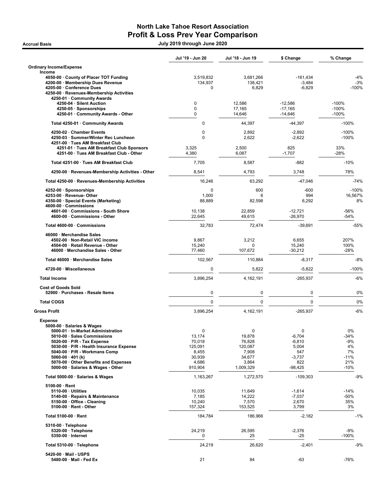## North Lake Tahoe Resort Association Profit & Loss Prev Year Comparison

Accrual Basis July 2019 through June 2020

|                                                                                                                                                                                                                                                                                                                                 | Jul '19 - Jun 20                                                        | Jul '18 - Jun 19                                                          | \$ Change                                                                 | % Change                                                   |
|---------------------------------------------------------------------------------------------------------------------------------------------------------------------------------------------------------------------------------------------------------------------------------------------------------------------------------|-------------------------------------------------------------------------|---------------------------------------------------------------------------|---------------------------------------------------------------------------|------------------------------------------------------------|
| <b>Ordinary Income/Expense</b><br>Income                                                                                                                                                                                                                                                                                        |                                                                         |                                                                           |                                                                           |                                                            |
| 4050-00 · County of Placer TOT Funding<br>4200-00 · Membership Dues Revenue<br>4205-00 · Conference Dues<br>4250-00 · Revenues-Membership Activities<br>4250-01 · Community Awards                                                                                                                                              | 3,519,832<br>134,937<br>0                                               | 3,681,266<br>138,421<br>6,829                                             | $-161,434$<br>$-3,484$<br>$-6,829$                                        | $-4%$<br>$-3%$<br>$-100%$                                  |
| 4250-04 · Silent Auction<br>4250-05 · Sponsorships<br>4250-01 · Community Awards - Other                                                                                                                                                                                                                                        | 0<br>0<br>$\Omega$                                                      | 12,586<br>17,165<br>14,646                                                | $-12,586$<br>$-17,165$<br>$-14,646$                                       | $-100%$<br>$-100%$<br>$-100%$                              |
| Total 4250-01 · Community Awards                                                                                                                                                                                                                                                                                                | 0                                                                       | 44,397                                                                    | $-44,397$                                                                 | $-100%$                                                    |
| 4250-02 · Chamber Events<br>4250-03 · Summer/Winter Rec Luncheon<br>4251-00 · Tues AM Breakfast Club<br>4251-01 · Tues AM Breakfast Club Sponsors                                                                                                                                                                               | 0<br>0<br>3,325                                                         | 2,892<br>2,622<br>2,500                                                   | $-2,892$<br>$-2,622$<br>825                                               | $-100%$<br>$-100%$<br>33%                                  |
| 4251-00 · Tues AM Breakfast Club - Other                                                                                                                                                                                                                                                                                        | 4,380                                                                   | 6,087                                                                     | $-1,707$                                                                  | $-28%$                                                     |
| Total 4251-00 · Tues AM Breakfast Club                                                                                                                                                                                                                                                                                          | 7,705                                                                   | 8,587                                                                     | -882                                                                      | $-10%$                                                     |
| 4250-00 · Revenues-Membership Activities - Other                                                                                                                                                                                                                                                                                | 8,541                                                                   | 4,793                                                                     | 3,748                                                                     | 78%                                                        |
| Total 4250-00 · Revenues-Membership Activities                                                                                                                                                                                                                                                                                  | 16,246                                                                  | 63,292                                                                    | $-47,046$                                                                 | $-74%$                                                     |
| 4252-00 · Sponsorships<br>4253-00 · Revenue- Other<br>4350-00 · Special Events (Marketing)<br>4600-00 · Commissions                                                                                                                                                                                                             | 0<br>1,000<br>88,889                                                    | 600<br>6<br>82,598                                                        | $-600$<br>994<br>6,292                                                    | $-100%$<br>16,567%<br>8%                                   |
| 4601-00 · Commissions - South Shore<br>4600-00 · Commissions - Other                                                                                                                                                                                                                                                            | 10,138<br>22,645                                                        | 22,859<br>49,615                                                          | $-12,721$<br>$-26,970$                                                    | -56%<br>$-54%$                                             |
| Total 4600-00 · Commissions                                                                                                                                                                                                                                                                                                     | 32,783                                                                  | 72,474                                                                    | $-39,691$                                                                 | -55%                                                       |
| 46000 · Merchandise Sales<br>4502-00 · Non-Retail VIC income<br>4504-00 · Retail Revenue - Other<br>46000 · Merchandise Sales - Other                                                                                                                                                                                           | 9,867<br>15,240<br>77,460                                               | 3,212<br>0<br>107,672                                                     | 6,655<br>15,240<br>$-30,212$                                              | 207%<br>100%<br>$-28%$                                     |
| Total 46000 · Merchandise Sales                                                                                                                                                                                                                                                                                                 | 102,567                                                                 | 110,884                                                                   | $-8,317$                                                                  | $-8%$                                                      |
| 4720-00 · Miscellaneous                                                                                                                                                                                                                                                                                                         | 0                                                                       | 5,822                                                                     | $-5,822$                                                                  | $-100%$                                                    |
| <b>Total Income</b>                                                                                                                                                                                                                                                                                                             | 3,896,254                                                               | 4,162,191                                                                 | $-265,937$                                                                | $-6%$                                                      |
| <b>Cost of Goods Sold</b><br>52900 · Purchases - Resale Items                                                                                                                                                                                                                                                                   | 0                                                                       | $\pmb{0}$                                                                 | 0                                                                         | 0%                                                         |
| <b>Total COGS</b>                                                                                                                                                                                                                                                                                                               | 0                                                                       | $\pmb{0}$                                                                 | 0                                                                         | 0%                                                         |
| <b>Gross Profit</b>                                                                                                                                                                                                                                                                                                             | 3,896,254                                                               | 4,162,191                                                                 | -265,937                                                                  | $-6%$                                                      |
| <b>Expense</b><br>5000-00 · Salaries & Wages<br>5000-01 · In-Market Administration<br>5010-00 · Sales Commissions<br>5020-00 · P/R - Tax Expense<br>5030-00 · P/R - Health Insurance Expense<br>5040-00 · P/R - Workmans Comp<br>5060-00 · 401 (k)<br>5070-00 Other Benefits and Expenses<br>5000-00 · Salaries & Wages - Other | 0<br>13,174<br>70,018<br>125,091<br>8,455<br>30,939<br>4,686<br>910,904 | 0<br>19,878<br>76,828<br>120,087<br>7,908<br>34,677<br>3,864<br>1,009,329 | 0<br>$-6,704$<br>$-6,810$<br>5,004<br>547<br>$-3,737$<br>822<br>$-98,425$ | 0%<br>$-34%$<br>-9%<br>4%<br>7%<br>$-11%$<br>21%<br>$-10%$ |
| Total 5000-00 · Salaries & Wages                                                                                                                                                                                                                                                                                                | 1,163,267                                                               | 1,272,570                                                                 | $-109,303$                                                                | $-9%$                                                      |
| $5100-00 \cdot$ Rent<br>$5110-00 \cdot$ Utilities<br>5140-00 · Repairs & Maintenance<br>5150-00 · Office - Cleaning<br>$5100-00 \cdot$ Rent - Other                                                                                                                                                                             | 10,035<br>7,185<br>10,240<br>157,324                                    | 11,649<br>14,222<br>7,570<br>153,525                                      | $-1,614$<br>$-7,037$<br>2,670<br>3,799                                    | $-14%$<br>-50%<br>35%<br>3%                                |
| Total 5100-00 · Rent                                                                                                                                                                                                                                                                                                            | 184,784                                                                 | 186,966                                                                   | $-2,182$                                                                  | $-1%$                                                      |
| $5310-00 \cdot$ Telephone<br>5320-00 · Telephone<br>5350-00 · Internet                                                                                                                                                                                                                                                          | 24,219<br>0                                                             | 26,595<br>25                                                              | $-2,376$<br>-25                                                           | $-9%$<br>$-100%$                                           |
| Total 5310-00 · Telephone                                                                                                                                                                                                                                                                                                       | 24,219                                                                  | 26,620                                                                    | $-2,401$                                                                  | $-9%$                                                      |
| 5420-00 · Mail - USPS<br>5480-00 · Mail - Fed Ex                                                                                                                                                                                                                                                                                | 21                                                                      | 84                                                                        | -63                                                                       | $-76%$                                                     |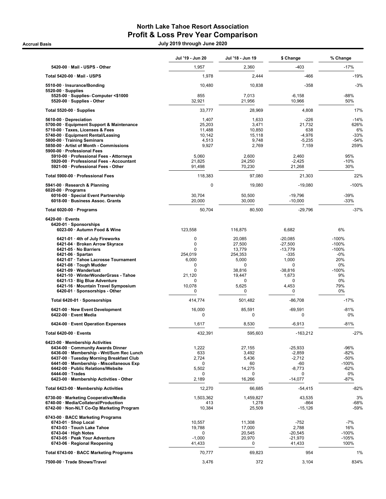## North Lake Tahoe Resort Association Profit & Loss Prev Year Comparison

Accrual Basis July 2019 through June 2020

|                                                                                                                                                                                                                                                                                                                                                                | Jul '19 - Jun 20                                                                                                 | Jul '18 - Jun 19                                                                                                         | \$ Change                                                                                                   | % Change                                                                              |
|----------------------------------------------------------------------------------------------------------------------------------------------------------------------------------------------------------------------------------------------------------------------------------------------------------------------------------------------------------------|------------------------------------------------------------------------------------------------------------------|--------------------------------------------------------------------------------------------------------------------------|-------------------------------------------------------------------------------------------------------------|---------------------------------------------------------------------------------------|
| 5420-00 · Mail - USPS - Other                                                                                                                                                                                                                                                                                                                                  | 1,957                                                                                                            | 2,360                                                                                                                    | $-403$                                                                                                      | $-17%$                                                                                |
| Total 5420-00 · Mail - USPS                                                                                                                                                                                                                                                                                                                                    | 1,978                                                                                                            | 2,444                                                                                                                    | $-466$                                                                                                      | $-19%$                                                                                |
| 5510-00 · Insurance/Bonding<br>$5520-00 \cdot$ Supplies                                                                                                                                                                                                                                                                                                        | 10,480                                                                                                           | 10,838                                                                                                                   | $-358$                                                                                                      | $-3%$                                                                                 |
| 5525-00 · Supplies- Computer <\$1000<br>5520-00 · Supplies - Other                                                                                                                                                                                                                                                                                             | 855<br>32,921                                                                                                    | 7,013<br>21,956                                                                                                          | $-6,158$<br>10,966                                                                                          | $-88%$<br>50%                                                                         |
| Total 5520-00 $\cdot$ Supplies                                                                                                                                                                                                                                                                                                                                 | 33,777                                                                                                           | 28,969                                                                                                                   | 4,808                                                                                                       | 17%                                                                                   |
| 5610-00 · Depreciation<br>5700-00 · Equipment Support & Maintenance<br>5710-00 · Taxes, Licenses & Fees<br>5740-00 · Equipment Rental/Leasing<br>5800-00 · Training Seminars<br>5850-00 · Artist of Month - Commissions                                                                                                                                        | 1,407<br>25,203<br>11,488<br>10,142<br>4,513<br>9,927                                                            | 1,633<br>3,471<br>10,850<br>15,118<br>9,748<br>2,769                                                                     | $-226$<br>21,732<br>638<br>$-4,976$<br>$-5,235$<br>7,159                                                    | $-14%$<br>626%<br>6%<br>$-33%$<br>$-54%$<br>259%                                      |
| 5900-00 · Professional Fees<br>5910-00 · Professional Fees - Attorneys<br>5920-00 · Professional Fees - Accountant<br>5921-00 · Professional Fees - Other                                                                                                                                                                                                      | 5,060<br>21,825<br>91,498                                                                                        | 2,600<br>24,250<br>70,230                                                                                                | 2,460<br>$-2,425$<br>21,268                                                                                 | 95%<br>$-10%$<br>30%                                                                  |
| Total 5900-00 · Professional Fees                                                                                                                                                                                                                                                                                                                              | 118,383                                                                                                          | 97,080                                                                                                                   | 21,303                                                                                                      | 22%                                                                                   |
| 5941-00 · Research & Planning<br>$6020-00 \cdot$ Programs<br>6016-00 · Special Event Partnership<br>6018-00 · Business Assoc. Grants                                                                                                                                                                                                                           | $\mathbf 0$<br>30,704<br>20,000                                                                                  | 19,080<br>50,500<br>30,000                                                                                               | $-19,080$<br>$-19,796$<br>$-10,000$                                                                         | $-100%$<br>$-39%$<br>$-33%$                                                           |
| Total 6020-00 · Programs                                                                                                                                                                                                                                                                                                                                       | 50,704                                                                                                           | 80,500                                                                                                                   | $-29,796$                                                                                                   | $-37%$                                                                                |
| $6420-00 \cdot$ Events<br>6420-01 · Sponsorships<br>6023-00 · Autumn Food & Wine                                                                                                                                                                                                                                                                               | 123,558                                                                                                          | 116,875                                                                                                                  | 6,682                                                                                                       | 6%                                                                                    |
| 6421-01 · 4th of July Fireworks<br>6421-04 · Broken Arrow Skyrace<br>6421-05 · No Barriers<br>$6421-06 \cdot$ Spartan<br>6421-07 · Tahoe Lacrosse Tournament<br>6421-08 · Tough Mudder<br>6421-09 · Wanderlust<br>6421-10 · WinterWonderGrass - Tahoe<br>6421-13 · Big Blue Adventure<br>6421-16 · Mountain Travel Symposium<br>6420-01 · Sponsorships - Other | $\mathbf 0$<br>$\mathbf 0$<br>$\Omega$<br>254,019<br>6,000<br>0<br>$\Omega$<br>21,120<br>$\Omega$<br>10,078<br>0 | 20,085<br>27,500<br>13,779<br>254,353<br>5,000<br>$\mathbf 0$<br>38,816<br>19,447<br>$\mathbf 0$<br>5,625<br>$\mathbf 0$ | $-20,085$<br>$-27,500$<br>$-13,779$<br>$-335$<br>1,000<br>0<br>$-38,816$<br>1,673<br>$\Omega$<br>4,453<br>0 | $-100%$<br>$-100%$<br>$-100%$<br>-0%<br>20%<br>0%<br>$-100%$<br>9%<br>0%<br>79%<br>0% |
| Total 6420-01 · Sponsorships                                                                                                                                                                                                                                                                                                                                   | 414,774                                                                                                          | 501.482                                                                                                                  | $-86,708$                                                                                                   | $-17%$                                                                                |
| 6421-00 · New Event Development<br>6422-00 · Event Media                                                                                                                                                                                                                                                                                                       | 16,000<br>0                                                                                                      | 85,591<br>0                                                                                                              | $-69,591$<br>0                                                                                              | $-81%$<br>0%                                                                          |
| 6424-00 · Event Operation Expenses                                                                                                                                                                                                                                                                                                                             | 1,617                                                                                                            | 8,530                                                                                                                    | $-6,913$                                                                                                    | $-81%$                                                                                |
| Total 6420-00 · Events                                                                                                                                                                                                                                                                                                                                         | 432,391                                                                                                          | 595,603                                                                                                                  | $-163,212$                                                                                                  | $-27%$                                                                                |
| 6423-00 · Membership Activities<br>6434-00 Community Awards Dinner<br>6436-00 · Membership - Wnt/Sum Rec Lunch<br>6437-00 · Tuesday Morning Breakfast Club<br>6441-00 · Membership - Miscellaneous Exp<br>6442-00 · Public Relations/Website<br>$6444-00 \cdot Trades$<br>6423-00 · Membership Activities - Other                                              | 1,222<br>633<br>2,724<br>0<br>5,502<br>0<br>2,189                                                                | 27,155<br>3,492<br>5,436<br>60<br>14,275<br>$\mathbf 0$<br>16,266                                                        | $-25,933$<br>$-2,859$<br>$-2,712$<br>-60<br>$-8,773$<br>0<br>$-14,077$                                      | -96%<br>$-82%$<br>$-50%$<br>$-100%$<br>$-62%$<br>0%<br>$-87%$                         |
| Total 6423-00 · Membership Activities                                                                                                                                                                                                                                                                                                                          | 12,270                                                                                                           | 66,685                                                                                                                   | $-54,415$                                                                                                   | $-82%$                                                                                |
| 6730-00 · Marketing Cooperative/Media<br>6740-00 · Media/Collateral/Production<br>6742-00 · Non-NLT Co-Op Marketing Program                                                                                                                                                                                                                                    | 1,503,362<br>413<br>10,384                                                                                       | 1,459,827<br>1,278<br>25,509                                                                                             | 43,535<br>$-864$<br>$-15,126$                                                                               | 3%<br>-68%<br>-59%                                                                    |
| 6743-00 · BACC Marketing Programs<br>6743-01 · Shop Local<br>6743-03 · Touch Lake Tahoe<br>$6743-04 \cdot$ High Notes<br>6743-05 · Peak Your Adventure<br>6743-06 · Regional Reopening                                                                                                                                                                         | 10,557<br>19,788<br>0<br>$-1,000$<br>41,433                                                                      | 11,308<br>17,000<br>20,545<br>20,970<br>$\mathbf 0$                                                                      | $-752$<br>2,788<br>$-20,545$<br>$-21,970$<br>41,433                                                         | $-7%$<br>16%<br>$-100%$<br>-105%<br>100%                                              |
| Total 6743-00 · BACC Marketing Programs                                                                                                                                                                                                                                                                                                                        | 70,777                                                                                                           | 69,823                                                                                                                   | 954                                                                                                         | 1%                                                                                    |
| 7500-00 · Trade Shows/Travel                                                                                                                                                                                                                                                                                                                                   | 3,476                                                                                                            | 372                                                                                                                      | 3,104                                                                                                       | 834%                                                                                  |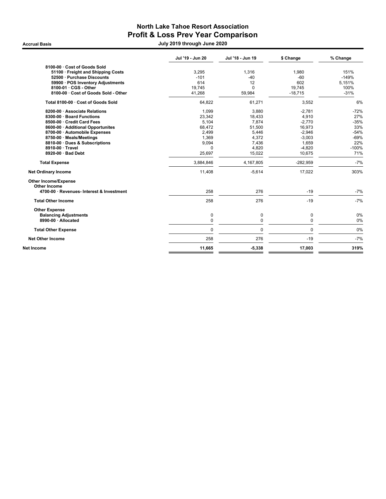## North Lake Tahoe Resort Association Profit & Loss Prev Year Comparison

Accrual Basis July 2019 through June 2020

|                                                                  | Jul '19 - Jun 20 | Jul '18 - Jun 19 | \$ Change  | % Change |
|------------------------------------------------------------------|------------------|------------------|------------|----------|
| 8100-00 · Cost of Goods Sold                                     |                  |                  |            |          |
| 51100 · Freight and Shipping Costs                               | 3,295            | 1.316            | 1,980      | 151%     |
| 52500 · Purchase Discounts                                       | $-101$           | $-40$            | $-60$      | $-149%$  |
| 59900 · POS Inventory Adjustments                                | 614              | 12               | 602        | 5,151%   |
| 8100-01 · CGS - Other                                            | 19.745           | $\Omega$         | 19.745     | 100%     |
| 8100-00 · Cost of Goods Sold - Other                             | 41,268           | 59,984           | $-18,715$  | $-31%$   |
| Total 8100-00 · Cost of Goods Sold                               | 64,822           | 61,271           | 3,552      | 6%       |
| 8200-00 · Associate Relations                                    | 1,099            | 3,880            | $-2,781$   | $-72%$   |
| 8300-00 · Board Functions                                        | 23,342           | 18,433           | 4,910      | 27%      |
| 8500-00 · Credit Card Fees                                       | 5,104            | 7,874            | $-2,770$   | $-35%$   |
| 8600-00 · Additional Opportunites                                | 68,472           | 51,500           | 16,973     | 33%      |
| 8700-00 · Automobile Expenses                                    | 2,499            | 5,446            | $-2,946$   | $-54%$   |
| 8750-00 · Meals/Meetings                                         | 1,369            | 4,372            | $-3,003$   | $-69%$   |
| 8810-00 · Dues & Subscriptions                                   | 9,094            | 7,436            | 1,659      | 22%      |
| 8910-00 · Travel                                                 | 0                | 4,820            | $-4,820$   | $-100%$  |
| 8920-00 · Bad Debt                                               | 25,697           | 15,022           | 10,675     | 71%      |
| <b>Total Expense</b>                                             | 3,884,846        | 4,167,805        | $-282,959$ | $-7%$    |
| <b>Net Ordinary Income</b>                                       | 11,408           | $-5,614$         | 17,022     | 303%     |
| <b>Other Income/Expense</b>                                      |                  |                  |            |          |
| <b>Other Income</b><br>4700-00 · Revenues- Interest & Investment | 258              | 276              | $-19$      | $-7%$    |
| <b>Total Other Income</b>                                        | 258              | 276              | $-19$      | $-7%$    |
|                                                                  |                  |                  |            |          |
| <b>Other Expense</b>                                             |                  |                  |            |          |
| <b>Balancing Adjustments</b>                                     | 0                | 0                | 0          | 0%       |
| 8990-00 · Allocated                                              | 0                | 0                | 0          | 0%       |
| <b>Total Other Expense</b>                                       | 0                | $\mathbf 0$      | 0          | 0%       |
| <b>Net Other Income</b>                                          | 258              | 276              | $-19$      | $-7%$    |
| Net Income                                                       | 11,665           | $-5,338$         | 17,003     | 319%     |
|                                                                  |                  |                  |            |          |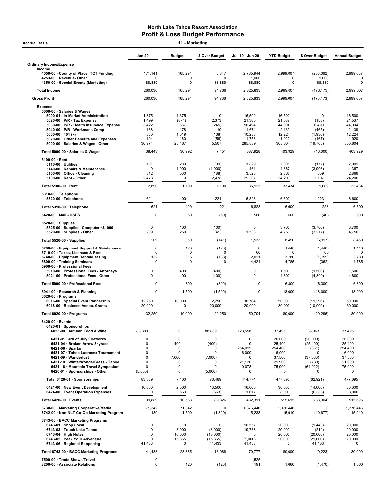| <b>Accrual Basis</b>                                                                                |                      | 11 - Marketing   |                       |                       |                     |                          |                      |
|-----------------------------------------------------------------------------------------------------|----------------------|------------------|-----------------------|-----------------------|---------------------|--------------------------|----------------------|
|                                                                                                     | <b>Jun 20</b>        | <b>Budget</b>    | \$ Over Budget        | Jul '19 - Jun 20      | <b>YTD Budget</b>   | \$ Over Budget           | <b>Annual Budget</b> |
| <b>Ordinary Income/Expense</b><br>Income                                                            |                      |                  |                       |                       |                     |                          |                      |
| 4050-00 · County of Placer TOT Funding                                                              | 171,141              | 165,294          | 5,847                 | 2,735,944             | 2,999,007           | (263,062)                | 2,999,007            |
| 4253-00 · Revenue- Other<br>4350-00 · Special Events (Marketing)                                    | O<br>88,889          | 0<br>0           | $\mathbf 0$<br>88,889 | 1,000<br>88,889       | 0<br>0              | 1,000<br>88,889          |                      |
| <b>Total Income</b>                                                                                 | 260,030              | 165,294          | 94,736                | 2,825,833             | 2,999,007           | (173, 173)               | 2,999,007            |
| <b>Gross Profit</b>                                                                                 | 260,030              | 165,294          | 94,736                | 2,825,833             | 2.999.007           | (173, 173)               | 2,999,007            |
| <b>Expense</b>                                                                                      |                      |                  |                       |                       |                     |                          |                      |
| 5000-00 · Salaries & Wages<br>5000-01 · In-Market Administration                                    | 1,375                | 1,375            | $\mathbf 0$           | 16,500                | 16,500              | $\mathbf 0$              | 16,500               |
| $5020-00 \cdot P/R$ - Tax Expense<br>5030-00 · P/R - Health Insurance Expense                       | 1,499<br>3,422       | (874)<br>3,667   | 2,373<br>(245)        | 21,380<br>50,494      | 21,537<br>44,004    | (158)<br>6,490           | 21,537<br>44,004     |
| 5040-00 · P/R - Workmans Comp                                                                       | 188                  | 178              | 10                    | 1,674<br>10,288       | 2,139<br>12,224     | (465)                    | 2,139                |
| 5060-00 $\cdot$ 401 (k)<br>5070-00 · Other Benefits and Expenses                                    | 880<br>104           | 1,019<br>160     | (138)<br>(56)         | 1,753                 | 1,920               | (1,936)<br>(167)         | 12,224<br>1,920      |
| 5000-00 · Salaries & Wages - Other                                                                  | 30,974               | 25,467           | 5,507                 | 285,839               | 305,604             | (19, 765)                | 305,604              |
| Total 5000-00 · Salaries & Wages                                                                    | 38,443               | 30,992           | 7,451                 | 387,928               | 403,929             | (16,000)                 | 403,929              |
| 5100-00 · Rent<br>$5110-00 \cdot$ Utilities                                                         | 101                  | 200              | (99)                  | 1,829                 | 2,001               | (172)                    | 2,001                |
| 5140-00 · Repairs & Maintenance<br>5150-00 · Office - Cleaning                                      | $\Omega$<br>312      | 1,000<br>500     | (1,000)<br>(188)      | 461<br>3,525          | 4,367<br>2,866      | (3,906)<br>659           | 4,367<br>2,866       |
| $5100-00 \cdot$ Rent - Other                                                                        | 2,478                | 0                | 2,478                 | 29,307                | 24,200              | 5,107                    | 24,200               |
| Total 5100-00 · Rent                                                                                | 2,890                | 1,700            | 1,190                 | 35,123                | 33,434              | 1,689                    | 33,434               |
| 5310-00 · Telephone<br>5320-00 · Telephone                                                          | 621                  | 400              | 221                   | 6,823                 | 6,600               | 223                      | 6,600                |
| Total 5310-00 · Telephone                                                                           | 621                  | 400              | 221                   | 6,823                 | 6,600               | 223                      | 6,600                |
| 5420-00 Mail - USPS                                                                                 | $\Omega$             | 50               | (50)                  | 560                   | 600                 | (40)                     | 600                  |
| $5520-00 \cdot$ Supplies                                                                            |                      |                  |                       |                       |                     |                          |                      |
| 5525-00 · Supplies- Computer <\$1000<br>5520-00 · Supplies - Other                                  | $\Omega$<br>209      | 100<br>250       | (100)<br>(41)         | $\Omega$<br>1,533     | 3,700<br>4,750      | (3,700)<br>(3, 217)      | 3,700<br>4,750       |
| Total 5520-00 · Supplies                                                                            | 209                  | 350              | (141)                 | 1,533                 | 8,450               | (6, 917)                 | 8,450                |
| 5700-00 · Equipment Support & Maintenance<br>5710-00 · Taxes, Licenses & Fees                       | $\Omega$<br>$\Omega$ | 120<br>0         | (120)<br>0            | $\mathbf 0$<br>60     | 1,440<br>0          | (1,440)<br>60            | 1,440                |
| 5740-00 · Equipment Rental/Leasing                                                                  | 132                  | 315              | (183)                 | 2,021                 | 3,780               | (1,759)                  | 3,780                |
| 5800-00 · Training Seminars<br>5900-00 · Professional Fees                                          | $\Omega$             | 0                | 0                     | 4,424                 | 4,785               | (362)                    | 4,785                |
| 5910-00 · Professional Fees - Attorneys<br>5921-00 · Professional Fees - Other                      | 0<br>0               | 400<br>400       | (400)<br>(400)        | 0<br>0                | 1,500<br>4,800      | (1,500)<br>(4,800)       | 1,500<br>4,800       |
| Total 5900-00 · Professional Fees                                                                   | $\Omega$             | 800              | (800)                 | $\Omega$              | 6,300               | (6,300)                  | 6,300                |
| 5941-00 · Research & Planning                                                                       | 0                    | 1,500            | (1,500)               | $\Omega$              | 18,000              | (18,000)                 | 18,000               |
| $6020-00 \cdot$ Programs<br>6016-00 · Special Event Partnership<br>6018-00 · Business Assoc. Grants | 12,250               | 10,000<br>0      | 2,250                 | 30,704<br>20,000      | 50,000<br>30,000    | (19, 296)                | 50,000<br>30,000     |
| Total 6020-00 · Programs                                                                            | 20,000<br>32,250     | 10,000           | 20,000<br>22,250      | 50,704                | 80,000              | (10,000)<br>(29, 296)    | 80,000               |
| 6420-00 · Events                                                                                    |                      |                  |                       |                       |                     |                          |                      |
| 6420-01 · Sponsorships<br>6023-00 · Autumn Food & Wine                                              | 88,889               | 0                | 88,889                | 123,558               | 37,495              | 86,063                   | 37,495               |
| 6421-01 · 4th of July Fireworks                                                                     | 0                    | $\mathbf 0$      | $\mathbf 0$           | $\mathbf 0$           | 20,000              | (20,000)                 | 20,000               |
| 6421-04 · Broken Arrow Skyrace<br>$6421-06 \cdot$ Spartan                                           | 0<br>0               | 400<br>$\Omega$  | (400)<br>0            | 0<br>254,019          | 25,400<br>254,400   | (25, 400)<br>(381)       | 25,400<br>254,400    |
| 6421-07 · Tahoe Lacrosse Tournament<br>6421-09 · Wanderlust                                         | 0<br>0               | 0<br>7,000       | 0                     | 6,000<br>$\Omega$     | 6,000<br>37,500     | 0                        | 6,000<br>37,500      |
| 6421-10 · WinterWonderGrass - Tahoe                                                                 | 0                    | $\Omega$         | (7,000)<br>$\Omega$   | 21,120                | 21,900              | (37, 500)<br>(780)       | 21,900               |
| 6421-16 · Mountain Travel Symposium<br>6420-01 · Sponsorships - Other                               | O<br>(5,000)         | 0<br>0           | 0<br>(5,000)          | 10,078<br>$\mathbf 0$ | 75,000<br>0         | (64, 922)<br>$\mathbf 0$ | 75,000<br>0          |
| Total 6420-01 · Sponsorships                                                                        | 83,889               | 7,400            | 76,489                | 414,774               | 477,695             | (62, 921)                | 477,695              |
| 6421-00 · New Event Development<br>6424-00 · Event Operation Expenses                               | 16,000<br>0          | 2,500<br>663     | 13,500<br>(663)       | 16,000<br>1,617       | 30,000<br>8,000     | (14,000)<br>(6, 383)     | 30,000<br>8,000      |
| Total 6420-00 · Events                                                                              | 99,889               | 10,563           | 89,326                | 432,391               | 515,695             | (83, 304)                | 515,695              |
| 6730-00 · Marketing Cooperative/Media<br>6742-00 · Non-NLT Co-Op Marketing Program                  | 71,342<br>180        | 71,342<br>1,500  | 0<br>(1,320)          | 1,376,446<br>5,233    | 1,376,446<br>15,910 | 0<br>(10, 677)           | 1,376,446<br>15,910  |
| 6743-00 · BACC Marketing Programs<br>6743-01 · Shop Local                                           | $\Omega$             | 0                | 0                     | 10,557                | 20,000              | (9, 443)                 | 20,000               |
| 6743-03 · Touch Lake Tahoe                                                                          | 0                    | 3,000            | (3,000)               | 19,788                | 20,000              | (212)                    | 20,000               |
| $6743-04 \cdot$ High Notes<br>6743-05 · Peak Your Adventure                                         | 0<br>O               | 10,000<br>15,365 | (10,000)<br>(15, 365) | $\Omega$<br>(1,000)   | 20,000<br>20,000    | (20,000)<br>(21,000)     | 20,000<br>20,000     |
| 6743-06 · Regional Reopening                                                                        | 41,433               | 0                | 41,433                | 41,433                | 0                   | 41,433                   | 0                    |
| Total 6743-00 · BACC Marketing Programs                                                             | 41,433               | 28,365           | 13,068                | 70,777                | 80,000              | (9, 223)                 | 80,000               |
| 7500-00 · Trade Shows/Travel<br>8200-00 Associate Relations                                         | 0<br>$\mathbf 0$     | 120              | (120)                 | 1,525<br>191          | 1,660               | (1,470)                  | 1,660                |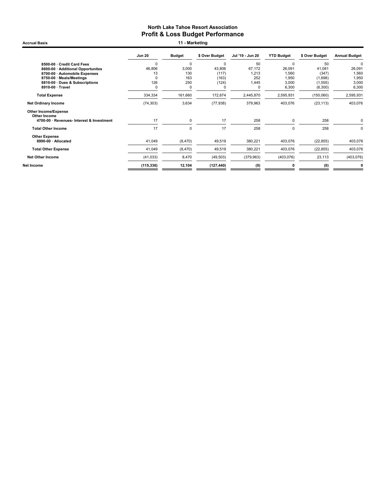Accrual Basis **11 - Marketing** 

|                                             | <b>Jun 20</b> | <b>Budget</b> | \$ Over Budget | Jul '19 - Jun 20 | <b>YTD Budget</b> | \$ Over Budget | <b>Annual Budget</b> |
|---------------------------------------------|---------------|---------------|----------------|------------------|-------------------|----------------|----------------------|
| 8500-00 · Credit Card Fees                  | $\Omega$      | $\Omega$      | $\Omega$       | 50               | $\Omega$          | 50             | $\Omega$             |
| 8600-00 · Additional Opportunites           | 46,806        | 3,000         | 43,806         | 67.172           | 26,091            | 41.081         | 26,091               |
| 8700-00 · Automobile Expenses               | 13            | 130           | (117)          | 1,213            | 1,560             | (347)          | 1,560                |
| 8750-00 · Meals/Meetings                    | $\Omega$      | 163           | (163)          | 252              | 1,950             | (1,698)        | 1,950                |
| 8810-00 · Dues & Subscriptions              | 126           | 250           | (124)          | 1,445            | 3,000             | (1, 555)       | 3,000                |
| 8910-00 · Travel                            | 0             | 0             | 0              | 0                | 6,300             | (6,300)        | 6,300                |
| <b>Total Expense</b>                        | 334,334       | 161,660       | 172,674        | 2,445,870        | 2,595,931         | (150,060)      | 2,595,931            |
| <b>Net Ordinary Income</b>                  | (74, 303)     | 3,634         | (77, 938)      | 379,963          | 403,076           | (23, 113)      | 403,076              |
| <b>Other Income/Expense</b><br>Other Income |               |               |                |                  |                   |                |                      |
| 4700-00 · Revenues- Interest & Investment   | 17            | $\mathbf 0$   | 17             | 258              | $\mathbf 0$       | 258            |                      |
| <b>Total Other Income</b>                   | 17            | $\Omega$      | 17             | 258              | $\Omega$          | 258            |                      |
| <b>Other Expense</b>                        |               |               |                |                  |                   |                |                      |
| 8990-00 · Allocated                         | 41,049        | (8, 470)      | 49,519         | 380,221          | 403,076           | (22, 855)      | 403,076              |
| <b>Total Other Expense</b>                  | 41,049        | (8, 470)      | 49,519         | 380,221          | 403,076           | (22, 855)      | 403,076              |
| <b>Net Other Income</b>                     | (41, 033)     | 8,470         | (49, 503)      | (379,963)        | (403, 076)        | 23,113         | (403, 076)           |
| Net Income                                  | (115, 336)    | 12,104        | (127, 440)     | (0)              |                   | (0)            |                      |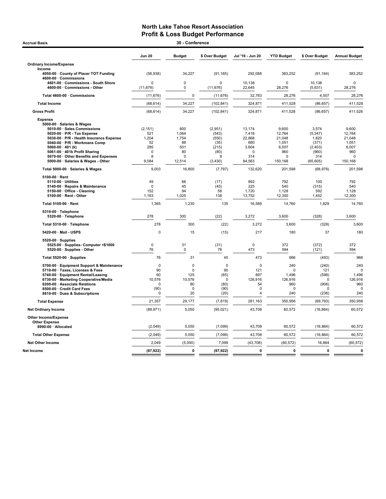| <b>Accrual Basis</b>                                                                                                                                                                                                                                                                                                               |                                                                 | 30 - Conference                                                |                                                                     |                                                                        |                                                                           |                                                                             |                                                                           |
|------------------------------------------------------------------------------------------------------------------------------------------------------------------------------------------------------------------------------------------------------------------------------------------------------------------------------------|-----------------------------------------------------------------|----------------------------------------------------------------|---------------------------------------------------------------------|------------------------------------------------------------------------|---------------------------------------------------------------------------|-----------------------------------------------------------------------------|---------------------------------------------------------------------------|
|                                                                                                                                                                                                                                                                                                                                    | <b>Jun 20</b>                                                   | <b>Budget</b>                                                  | \$ Over Budget                                                      | Jul '19 - Jun 20                                                       | <b>YTD Budget</b>                                                         | \$ Over Budget                                                              | <b>Annual Budget</b>                                                      |
| <b>Ordinary Income/Expense</b><br>Income                                                                                                                                                                                                                                                                                           |                                                                 |                                                                |                                                                     |                                                                        |                                                                           |                                                                             |                                                                           |
| 4050-00 County of Placer TOT Funding<br>4600-00 · Commissions                                                                                                                                                                                                                                                                      | (56, 938)                                                       | 34,227                                                         | (91, 165)                                                           | 292,088                                                                | 383,252                                                                   | (91, 164)                                                                   | 383,252                                                                   |
| 4601-00 Commissions - South Shore<br>4600-00 Commissions - Other                                                                                                                                                                                                                                                                   | $\mathbf 0$<br>(11, 676)                                        | 0<br>$\mathbf 0$                                               | $\Omega$<br>(11, 676)                                               | 10,138<br>22,645                                                       | 0<br>28,276                                                               | 10,138<br>(5,631)                                                           | $\mathbf 0$<br>28,276                                                     |
| Total 4600-00 · Commissions                                                                                                                                                                                                                                                                                                        | (11, 676)                                                       | $\mathbf 0$                                                    | (11, 676)                                                           | 32,783                                                                 | 28,276                                                                    | 4,507                                                                       | 28,276                                                                    |
| <b>Total Income</b>                                                                                                                                                                                                                                                                                                                | (68, 614)                                                       | 34,227                                                         | (102, 841)                                                          | 324,871                                                                | 411,528                                                                   | (86, 657)                                                                   | 411,528                                                                   |
| <b>Gross Profit</b>                                                                                                                                                                                                                                                                                                                | (68, 614)                                                       | 34,227                                                         | (102, 841)                                                          | 324,871                                                                | 411,528                                                                   | (86, 657)                                                                   | 411,528                                                                   |
| <b>Expense</b><br>5000-00 · Salaries & Wages<br>5010-00 · Sales Commissions<br>5020-00 · P/R - Tax Expense<br>5030-00 · P/R - Health Insurance Expense<br>5040-00 · P/R - Workmans Comp<br>5060-00 $\cdot$ 401 (k)<br>5061-00 · 401k Profit Sharing<br>5070-00 · Other Benefits and Expenses<br>5000-00 · Salaries & Wages - Other | (2, 151)<br>521<br>1.204<br>52<br>285<br>$\Omega$<br>8<br>9.084 | 800<br>1.064<br>1,754<br>88<br>501<br>80<br>$\Omega$<br>12.514 | (2,951)<br>(543)<br>(550)<br>(35)<br>(215)<br>(80)<br>8<br>(3, 430) | 13,174<br>7,418<br>22,868<br>680<br>3,604<br>$\Omega$<br>314<br>84.563 | 9.600<br>12,764<br>21,048<br>1,051<br>6,007<br>960<br>$\Omega$<br>150.168 | 3,574<br>(5, 347)<br>1.820<br>(371)<br>(2,403)<br>(960)<br>314<br>(65, 605) | 9.600<br>12,764<br>21,048<br>1,051<br>6,007<br>960<br>$\Omega$<br>150.168 |
| Total 5000-00 · Salaries & Wages                                                                                                                                                                                                                                                                                                   | 9,003                                                           | 16,800                                                         | (7, 797)                                                            | 132,620                                                                | 201,598                                                                   | (68, 978)                                                                   | 201,598                                                                   |
| $5100.00 \cdot$ Rent<br>5110-00 · Utilities<br>5140-00 · Repairs & Maintenance<br>5150-00 Office - Cleaning<br>5100-00 · Rent - Other                                                                                                                                                                                              | 49<br>$\Omega$<br>152<br>1,163                                  | 66<br>45<br>94<br>1,025                                        | (17)<br>(45)<br>58<br>138                                           | 892<br>225<br>1,720<br>13,752                                          | 792<br>540<br>1,128<br>12,300                                             | 100<br>(315)<br>592<br>1,452                                                | 792<br>540<br>1,128<br>12,300                                             |
| Total 5100-00 · Rent                                                                                                                                                                                                                                                                                                               | 1,365                                                           | 1,230                                                          | 135                                                                 | 16,589                                                                 | 14,760                                                                    | 1,829                                                                       | 14,760                                                                    |
| 5310-00 · Telephone<br>5320-00 · Telephone                                                                                                                                                                                                                                                                                         | 278                                                             | 300                                                            | (22)                                                                | 3,272                                                                  | 3,600                                                                     | (328)                                                                       | 3,600                                                                     |
| Total 5310-00 · Telephone                                                                                                                                                                                                                                                                                                          | 278                                                             | 300                                                            | (22)                                                                | 3,272                                                                  | 3,600                                                                     | (328)                                                                       | 3,600                                                                     |
| 5420-00 · Mail - USPS                                                                                                                                                                                                                                                                                                              | $\mathbf 0$                                                     | 15                                                             | (15)                                                                | 217                                                                    | 180                                                                       | 37                                                                          | 180                                                                       |
| $5520-00 \cdot$ Supplies<br>5525-00 · Supplies- Computer <\$1000<br>5520-00 · Supplies - Other                                                                                                                                                                                                                                     | $\mathbf 0$<br>76                                               | 31<br>$\mathbf 0$                                              | (31)<br>76                                                          | 0<br>473                                                               | 372<br>594                                                                | (372)<br>(121)                                                              | 372<br>594                                                                |
| Total 5520-00 · Supplies                                                                                                                                                                                                                                                                                                           | 76                                                              | 31                                                             | 45                                                                  | 473                                                                    | 966                                                                       | (493)                                                                       | 966                                                                       |
| 5700-00 · Equipment Support & Maintenance<br>5710-00 · Taxes, Licenses & Fees<br>5740-00 · Equipment Rental/Leasing<br>6730-00 · Marketing Cooperative/Media<br>8200-00 · Associate Relations<br>8500-00 · Credit Card Fees<br>8810-00 · Dues & Subscriptions                                                                      | $\mathbf 0$<br>90<br>60<br>10.576<br>0<br>(90)<br>$\Omega$      | 0<br>$\Omega$<br>125<br>10,576<br>80<br>0<br>20                | $\mathbf 0$<br>90<br>(65)<br>$\Omega$<br>(80)<br>(90)<br>(20)       | $\Omega$<br>121<br>897<br>126,916<br>54<br>0<br>$\overline{4}$         | 240<br>$\mathbf 0$<br>1,496<br>126,916<br>960<br>0<br>240                 | (240)<br>121<br>(598)<br>$\Omega$<br>(906)<br>$\Omega$<br>(236)             | 240<br>$\Omega$<br>1,496<br>126,916<br>960<br>$\Omega$<br>240             |
| <b>Total Expense</b>                                                                                                                                                                                                                                                                                                               | 21,357                                                          | 29,177                                                         | (7, 819)                                                            | 281,163                                                                | 350,956                                                                   | (69, 793)                                                                   | 350,956                                                                   |
| <b>Net Ordinary Income</b>                                                                                                                                                                                                                                                                                                         | (89, 971)                                                       | 5,050                                                          | (95, 021)                                                           | 43,708                                                                 | 60,572                                                                    | (16, 864)                                                                   | 60,572                                                                    |
| <b>Other Income/Expense</b><br><b>Other Expense</b>                                                                                                                                                                                                                                                                                |                                                                 |                                                                |                                                                     |                                                                        |                                                                           |                                                                             |                                                                           |
| 8990-00 · Allocated                                                                                                                                                                                                                                                                                                                | (2,049)                                                         | 5,050                                                          | (7,099)                                                             | 43,708                                                                 | 60,572                                                                    | (16, 864)                                                                   | 60,572                                                                    |
| <b>Total Other Expense</b><br><b>Net Other Income</b>                                                                                                                                                                                                                                                                              | (2,049)<br>2,049                                                | 5,050<br>(5,050)                                               | (7,099)<br>7,099                                                    | 43,708<br>(43, 708)                                                    | 60,572<br>(60, 572)                                                       | (16, 864)<br>16,864                                                         | 60,572<br>(60, 572)                                                       |
|                                                                                                                                                                                                                                                                                                                                    |                                                                 | $\mathbf 0$                                                    |                                                                     | 0                                                                      | $\mathbf 0$                                                               | $\mathbf 0$                                                                 | $\mathbf 0$                                                               |
| Net Income                                                                                                                                                                                                                                                                                                                         | (87, 922)                                                       |                                                                | (87, 922)                                                           |                                                                        |                                                                           |                                                                             |                                                                           |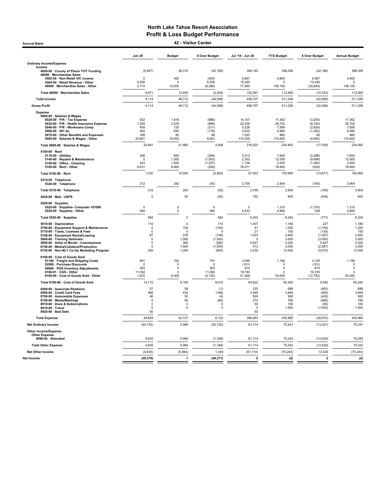Accrual Basis 42 - Visitor Center

|                                                                                                                                                                                                                                                                                                               | <b>Jun 20</b>                                                            | <b>Budget</b>                                          | \$ Over Budget                                                            | Jul '19 - Jun 20                                                | <b>YTD Budget</b>                                                   | \$ Over Budget                                                                  | <b>Annual Budget</b>                                                |
|---------------------------------------------------------------------------------------------------------------------------------------------------------------------------------------------------------------------------------------------------------------------------------------------------------------|--------------------------------------------------------------------------|--------------------------------------------------------|---------------------------------------------------------------------------|-----------------------------------------------------------------|---------------------------------------------------------------------|---------------------------------------------------------------------------------|---------------------------------------------------------------------|
| <b>Ordinary Income/Expense</b>                                                                                                                                                                                                                                                                                |                                                                          |                                                        |                                                                           |                                                                 |                                                                     |                                                                                 |                                                                     |
| Income<br>4050-00 · County of Placer TOT Funding                                                                                                                                                                                                                                                              | (5, 857)                                                                 | 36,312                                                 | (42, 169)                                                                 | 356,140                                                         | 398,306                                                             | (42, 166)                                                                       | 398,306                                                             |
| 46000 · Merchandise Sales<br>4502-00 · Non-Retail VIC income<br>4504-00 · Retail Revenue - Other<br>46000 · Merchandise Sales - Other                                                                                                                                                                         | 0<br>6,256<br>3,714                                                      | 400<br>$\Omega$<br>12,000                              | (400)<br>6,256<br>(8, 286)                                                | 9,867<br>15,240<br>77,460                                       | 4,800<br>$\Omega$<br>108,100                                        | 5,067<br>15,240<br>(30, 640)                                                    | 4,800<br>$\Omega$<br>108,100                                        |
| Total 46000 · Merchandise Sales                                                                                                                                                                                                                                                                               | 9,971                                                                    | 12,400                                                 | (2, 429)                                                                  | 102,567                                                         | 112,900                                                             | (10, 333)                                                                       | 112,900                                                             |
| <b>Total Income</b>                                                                                                                                                                                                                                                                                           | 4,114                                                                    | 48,712                                                 | (44, 598)                                                                 | 458,707                                                         | 511,206                                                             | (52, 499)                                                                       | 511,206                                                             |
| <b>Gross Profit</b>                                                                                                                                                                                                                                                                                           | 4,114                                                                    | 48,712                                                 | (44, 598)                                                                 | 458,707                                                         | 511,206                                                             | (52, 499)                                                                       | 511,206                                                             |
| Expense                                                                                                                                                                                                                                                                                                       |                                                                          |                                                        |                                                                           |                                                                 |                                                                     |                                                                                 |                                                                     |
| 5000-00 · Salaries & Wages<br>5020-00 · P/R - Tax Expense<br>5030-00 · P/R - Health Insurance Expense<br>5040-00 · P/R - Workmans Comp<br>5060-00 $\cdot$ 401 (k)<br>5070-00 Other Benefits and Expenses<br>5000-00 · Salaries & Wages - Other                                                                | 932<br>1,259<br>409<br>462<br>168<br>22,661                              | 1,818<br>2,225<br>720<br>640<br>80<br>16,000           | (886)<br>(966)<br>(311)<br>(178)<br>88<br>6,661                           | 14,107<br>20,536<br>5,228<br>5.632<br>1,020<br>170,000          | 17,362<br>26,700<br>7,856<br>6.984<br>960<br>174,600                | (3, 255)<br>(6, 164)<br>(2,628)<br>(1, 352)<br>60<br>(4,600)                    | 17,362<br>26,700<br>7,856<br>6.984<br>960<br>174,600                |
| Total 5000-00 · Salaries & Wages                                                                                                                                                                                                                                                                              | 25,891                                                                   | 21,483                                                 | 4,408                                                                     | 216,523                                                         | 234,462                                                             | (17, 939)                                                                       | 234,462                                                             |
| 5100-00 · Rent<br>5110-00 · Utilities<br>5140-00 · Repairs & Maintenance<br>5150-00 · Office - Cleaning<br>5100-00 · Rent - Other                                                                                                                                                                             | 356<br>$\Omega$<br>243<br>6,631                                          | 650<br>1,000<br>1,500<br>6,900                         | (294)<br>(1,000)<br>(1, 257)<br>(269)                                     | 5,313<br>2,303<br>1,136<br>78,271                               | 7,600<br>12,000<br>2,500<br>78,800                                  | (2, 288)<br>(9,698)<br>(1, 364)<br>(529)                                        | 7,600<br>12,000<br>2,500<br>78,800                                  |
| Total 5100-00 · Rent                                                                                                                                                                                                                                                                                          | 7,230                                                                    | 10,050                                                 | (2,820)                                                                   | 87,023                                                          | 100,900                                                             | (13, 877)                                                                       | 100,900                                                             |
| 5310-00 · Telephone<br>5320-00 · Telephone                                                                                                                                                                                                                                                                    | 212                                                                      | 242                                                    | (30)                                                                      | 2,709                                                           | 2,904                                                               | (195)                                                                           | 2,904                                                               |
| Total 5310-00 · Telephone                                                                                                                                                                                                                                                                                     | 212                                                                      | 242                                                    | (30)                                                                      | 2,709                                                           | 2,904                                                               | (195)                                                                           | 2,904                                                               |
| 5420-00 · Mail - USPS                                                                                                                                                                                                                                                                                         | $\Omega$                                                                 | 50                                                     | (50)                                                                      | 152                                                             | 600                                                                 | (448)                                                                           | 600                                                                 |
| $5520-00 \cdot$ Supplies<br>5525-00 · Supplies- Computer <\$1000<br>5520-00 · Supplies - Other                                                                                                                                                                                                                | 0<br>584                                                                 | 0<br>$\mathbf 0$                                       | $\mathbf 0$<br>584                                                        | 0<br>5,433                                                      | 1,310<br>4,894                                                      | (1, 310)<br>539                                                                 | 1,310<br>4,894                                                      |
| Total 5520-00 · Supplies                                                                                                                                                                                                                                                                                      | 584                                                                      | 0                                                      | 584                                                                       | 5,433                                                           | 6,204                                                               | (771)                                                                           | 6,204                                                               |
| 5610-00 · Depreciation<br>5700-00 · Equipment Support & Maintenance<br>5710-00 · Taxes, Licenses & Fees<br>5740-00 · Equipment Rental/Leasing<br>5800-00 · Training Seminars<br>5850-00 · Artist of Month - Commissions<br>6740-00 · Media/Collateral/Production<br>6742-00 · Non-NLT Co-Op Marketing Program | 110<br>$\Omega$<br>$\Omega$<br>87<br>$\mathbf 0$<br>0<br>$\Omega$<br>200 | 0<br>100<br>0<br>235<br>1.000<br>360<br>1,500<br>1,000 | 110<br>(100)<br>$\Omega$<br>(148)<br>(1,000)<br>(360)<br>(1,500)<br>(800) | 1,407<br>41<br>21<br>1,523<br>$\Omega$<br>9,927<br>413<br>2,430 | 1,180<br>1,200<br>155<br>2,820<br>3.000<br>4,320<br>3,000<br>12,000 | 227<br>(1, 159)<br>(134)<br>(1, 297)<br>(3,000)<br>5,607<br>(2, 587)<br>(9,570) | 1,180<br>1,200<br>155<br>2,820<br>3.000<br>4,320<br>3,000<br>12,000 |
| 8100-00 · Cost of Goods Sold<br>51100 · Freight and Shipping Costs<br>52500 · Purchase Discounts<br>59900 · POS Inventory Adjustments<br>8100-01 · CGS - Other<br>8100-00 · Cost of Goods Sold - Other                                                                                                        | 891<br>$\Omega$<br>263<br>11,092<br>1,870                                | 100<br>$\Omega$<br>$\pmb{0}$<br>0<br>6,000             | 791<br>$\Omega$<br>263<br>11,092<br>(4, 130)                              | 3,295<br>(101)<br>614<br>19,745<br>41,268                       | 1,190<br>$\Omega$<br>$\Omega$<br><sup>n</sup><br>54.050             | 2,105<br>(101)<br>614<br>19,745<br>(12, 782)                                    | 1,190<br>$\mathsf 0$<br>$\mathsf 0$<br>$^{\circ}$<br>54,050         |
| Total 8100-00 · Cost of Goods Sold                                                                                                                                                                                                                                                                            | 14,115                                                                   | 6,100                                                  | 8,015                                                                     | 64,822                                                          | 55,240                                                              | 9,582                                                                           | 55,240                                                              |
| 8200-00 · Associate Relations<br>8500-00 · Credit Card Fees<br>8700-00 · Automobile Expenses<br>8750-00 · Meals/Meetings<br>8810-00 · Dues & Subscriptions<br>8910-00 · Travel<br>8920-00 · Bad Debt                                                                                                          | 57<br>268<br>46<br>$\Omega$<br>$\Omega$<br>$\Omega$<br>50                | 58<br>434<br>50<br>65<br>$\Omega$<br>0                 | (1)<br>(166)<br>(4)<br>(65)<br>$\Omega$<br>$\mathbf 0$                    | 233<br>3,495<br>524<br>214<br>55<br>$\Omega$<br>50              | 696<br>3,954<br>950<br>780<br>100<br>1,500                          | (463)<br>(459)<br>(426)<br>(566)<br>(45)<br>(1,500)                             | 696<br>3,954<br>950<br>780<br>100<br>1,500                          |
| <b>Total Expense</b>                                                                                                                                                                                                                                                                                          | 48,849                                                                   | 42,727                                                 | 6,122                                                                     | 396,993                                                         | 435,965                                                             | (38, 972)                                                                       | 435,965                                                             |
| <b>Net Ordinary Income</b>                                                                                                                                                                                                                                                                                    | (44, 735)                                                                | 5,985                                                  | (50, 720)                                                                 | 61,714                                                          | 75,241                                                              | (13, 527)                                                                       | 75,241                                                              |
| <b>Other Income/Expense</b><br><b>Other Expense</b><br>8990-00 · Allocated                                                                                                                                                                                                                                    | 4,635                                                                    | 5,984                                                  | (1, 349)                                                                  | 61,714                                                          | 75,243                                                              | (13, 529)                                                                       | 75,243                                                              |
| <b>Total Other Expense</b>                                                                                                                                                                                                                                                                                    | 4,635                                                                    | 5,984                                                  | (1, 349)                                                                  | 61,714                                                          | 75,243                                                              | (13, 529)                                                                       | 75,243                                                              |
| Net Other Income                                                                                                                                                                                                                                                                                              | (4,635)                                                                  | (5,984)                                                | 1,349                                                                     | (61, 714)                                                       | (75, 243)                                                           | 13,529                                                                          | (75, 243)                                                           |
| Net Income                                                                                                                                                                                                                                                                                                    | (49, 370)                                                                | $\mathbf{1}$                                           | (49, 371)                                                                 | $\mathbf 0$                                                     | (2)                                                                 | $\overline{\mathbf{2}}$                                                         | (2)                                                                 |
|                                                                                                                                                                                                                                                                                                               |                                                                          |                                                        |                                                                           |                                                                 |                                                                     |                                                                                 |                                                                     |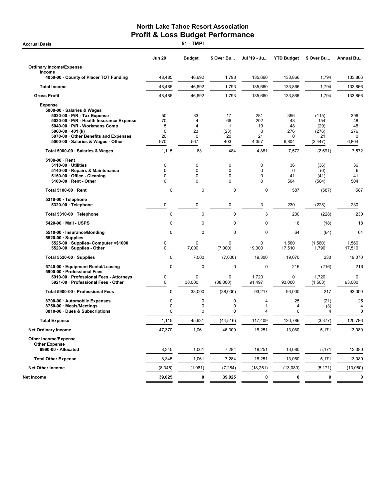**Accrual Basis** 

|                                                                                                                                                                                                                                  | <b>Jun 20</b>                        | <b>Budget</b>                                 | \$ Over Bu                             | Jul '19 - Ju                | <b>YTD Budget</b>                     | \$ Over Bu                          | <b>Annual Bu</b>            |
|----------------------------------------------------------------------------------------------------------------------------------------------------------------------------------------------------------------------------------|--------------------------------------|-----------------------------------------------|----------------------------------------|-----------------------------|---------------------------------------|-------------------------------------|-----------------------------|
| <b>Ordinary Income/Expense</b>                                                                                                                                                                                                   |                                      |                                               |                                        |                             |                                       |                                     |                             |
| Income<br>4050-00 County of Placer TOT Funding                                                                                                                                                                                   | 48,485                               | 46,692                                        | 1,793                                  | 135,660                     | 133,866                               | 1,794                               | 133,866                     |
| <b>Total Income</b>                                                                                                                                                                                                              | 48,485                               | 46,692                                        | 1,793                                  | 135,660                     | 133,866                               | 1,794                               | 133,866                     |
| <b>Gross Profit</b>                                                                                                                                                                                                              | 48,485                               | 46,692                                        | 1,793                                  | 135,660                     | 133,866                               | 1,794                               | 133,866                     |
| <b>Expense</b><br>5000-00 · Salaries & Wages<br>$5020-00 \cdot P/R$ - Tax Expense<br>5030-00 · P/R - Health Insurance Expense<br>5040-00 · P/R - Workmans Comp<br>5060-00 $\cdot$ 401 (k)<br>5070-00 Other Benefits and Expenses | 50<br>70<br>5<br>0<br>20<br>970      | 33<br>4<br>$\overline{\mathbf{4}}$<br>23<br>0 | 17<br>66<br>$\mathbf{1}$<br>(23)<br>20 | 281<br>202<br>19<br>0<br>21 | 396<br>48<br>48<br>276<br>$\mathbf 0$ | (115)<br>154<br>(29)<br>(276)<br>21 | 396<br>48<br>48<br>276<br>0 |
| 5000-00 · Salaries & Wages - Other                                                                                                                                                                                               |                                      | 567                                           | 403                                    | 4,357                       | 6,804                                 | (2, 447)                            | 6,804                       |
| Total 5000-00 · Salaries & Wages                                                                                                                                                                                                 | 1,115                                | 631                                           | 484                                    | 4,881                       | 7,572                                 | (2,691)                             | 7,572                       |
| 5100-00 · Rent<br>5110-00 · Utilities<br>5140-00 · Repairs & Maintenance<br>5150-00 Office - Cleaning<br>5100-00 · Rent - Other                                                                                                  | $\mathbf 0$<br>0<br>0<br>$\mathbf 0$ | 0<br>0<br>0<br>0                              | 0<br>0<br>0<br>0                       | 0<br>$\Omega$<br>0<br>0     | 36<br>6<br>41<br>504                  | (36)<br>(6)<br>(41)<br>(504)        | 36<br>6<br>41<br>504        |
| Total 5100-00 · Rent                                                                                                                                                                                                             | 0                                    | $\mathbf 0$                                   | $\mathbf 0$                            | $\mathbf 0$                 | 587                                   | (587)                               | 587                         |
| 5310-00 · Telephone<br>5320-00 · Telephone                                                                                                                                                                                       | $\mathbf 0$                          | 0                                             | 0                                      | 3                           | 230                                   | (228)                               | 230                         |
| Total 5310-00 · Telephone                                                                                                                                                                                                        | 0                                    | $\mathbf 0$                                   | $\mathbf 0$                            | 3                           | 230                                   | (228)                               | 230                         |
| 5420-00 · Mail - USPS                                                                                                                                                                                                            | 0                                    | 0                                             | $\mathbf 0$                            | 0                           | 18                                    | (18)                                | 18                          |
| 5510-00 · Insurance/Bonding                                                                                                                                                                                                      | 0                                    | $\mathbf 0$                                   | $\mathbf 0$                            | $\mathbf 0$                 | 64                                    | (64)                                | 64                          |
| $5520-00 \cdot$ Supplies<br>5525-00 · Supplies- Computer <\$1000<br>5520-00 · Supplies - Other                                                                                                                                   | 0<br>$\mathbf 0$                     | 0<br>7,000                                    | 0<br>(7,000)                           | 0<br>19,300                 | 1,560<br>17,510                       | (1,560)<br>1,790                    | 1,560<br>17,510             |
| Total 5520-00 · Supplies                                                                                                                                                                                                         | 0                                    | 7,000                                         | (7,000)                                | 19,300                      | 19,070                                | 230                                 | 19,070                      |
| 5740-00 · Equipment Rental/Leasing                                                                                                                                                                                               | 0                                    | $\mathbf 0$                                   | $\mathbf 0$                            | $\mathbf 0$                 | 216                                   | (216)                               | 216                         |
| 5900-00 · Professional Fees<br>5910-00 · Professional Fees - Attorneys<br>5921-00 Professional Fees - Other                                                                                                                      | 0<br>$\mathbf 0$                     | 0<br>38,000                                   | 0<br>(38,000)                          | 1,720<br>91,497             | $\mathbf 0$<br>93,000                 | 1,720<br>(1,503)                    | 0<br>93,000                 |
| Total 5900-00 · Professional Fees                                                                                                                                                                                                | 0                                    | 38,000                                        | (38,000)                               | 93,217                      | 93,000                                | 217                                 | 93,000                      |
| 8700-00 · Automobile Expenses<br>8750-00 · Meals/Meetings<br>8810-00 · Dues & Subscriptions                                                                                                                                      | 0<br>0<br>0                          | 0<br>0<br>0                                   | $\mathbf 0$<br>0<br>$\mathbf 0$        | 4<br>1<br>4                 | 25<br>4<br>$\mathbf 0$                | (21)<br>(3)<br>4                    | 25<br>4<br>$\mathbf 0$      |
| <b>Total Expense</b>                                                                                                                                                                                                             | 1,115                                | 45,631                                        | (44, 516)                              | 117,409                     | 120,786                               | (3, 377)                            | 120,786                     |
| <b>Net Ordinary Income</b>                                                                                                                                                                                                       | 47,370                               | 1,061                                         | 46,309                                 | 18,251                      | 13,080                                | 5,171                               | 13,080                      |
| <b>Other Income/Expense</b><br><b>Other Expense</b>                                                                                                                                                                              |                                      |                                               |                                        |                             |                                       |                                     |                             |
| 8990-00 · Allocated                                                                                                                                                                                                              | 8,345                                | 1,061                                         | 7,284                                  | 18,251                      | 13,080                                | 5,171                               | 13,080                      |
| <b>Total Other Expense</b>                                                                                                                                                                                                       | 8,345                                | 1,061                                         | 7,284                                  | 18,251                      | 13,080                                | 5,171                               | 13,080                      |
| <b>Net Other Income</b>                                                                                                                                                                                                          | (8, 345)                             | (1,061)                                       | (7, 284)                               | (18, 251)                   | (13,080)                              | (5, 171)                            | (13,080)                    |
| Net Income                                                                                                                                                                                                                       | 39,025                               | 0                                             | 39,025                                 | 0                           | 0                                     | 0                                   | 0                           |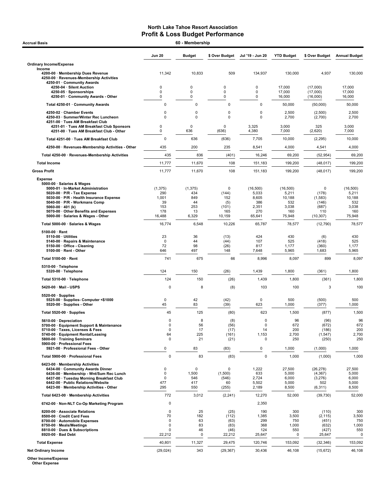| 60 - Membership<br><b>Accrual Basis</b>                                                                                                                                                                                                     |                                          |                                  |                                                 |                                             |                                            |                                                        |                                            |  |
|---------------------------------------------------------------------------------------------------------------------------------------------------------------------------------------------------------------------------------------------|------------------------------------------|----------------------------------|-------------------------------------------------|---------------------------------------------|--------------------------------------------|--------------------------------------------------------|--------------------------------------------|--|
|                                                                                                                                                                                                                                             | <b>Jun 20</b>                            | <b>Budget</b>                    | \$ Over Budget                                  | Jul '19 - Jun 20                            | <b>YTD Budget</b>                          | \$ Over Budget                                         | <b>Annual Budget</b>                       |  |
| <b>Ordinary Income/Expense</b>                                                                                                                                                                                                              |                                          |                                  |                                                 |                                             |                                            |                                                        |                                            |  |
| Income<br>4200-00 · Membership Dues Revenue<br>4250-00 · Revenues-Membership Activities<br>4250-01 · Community Awards                                                                                                                       | 11,342                                   | 10,833                           | 509                                             | 134,937                                     | 130.000                                    | 4,937                                                  | 130,000                                    |  |
| 4250-04 · Silent Auction<br>4250-05 · Sponsorships<br>4250-01 Community Awards - Other                                                                                                                                                      | 0<br>0<br>0                              | 0<br>0<br>0                      | 0<br>0<br>0                                     | 0<br>$\pmb{0}$<br>0                         | 17,000<br>17,000<br>16,000                 | (17,000)<br>(17,000)<br>(16,000)                       | 17,000<br>17,000<br>16,000                 |  |
| Total 4250-01 · Community Awards                                                                                                                                                                                                            | 0                                        | 0                                | 0                                               | $\mathbf 0$                                 | 50,000                                     | (50,000)                                               | 50,000                                     |  |
| 4250-02 · Chamber Events<br>4250-03 · Summer/Winter Rec Luncheon                                                                                                                                                                            | 0<br>0                                   | 0<br>$\mathbf 0$                 | 0<br>$\mathbf 0$                                | $\mathbf 0$<br>0                            | 2,500<br>2,700                             | (2,500)<br>(2,700)                                     | 2,500<br>2,700                             |  |
| 4251-00 · Tues AM Breakfast Club<br>4251-01 · Tues AM Breakfast Club Sponsors<br>4251-00 · Tues AM Breakfast Club - Other                                                                                                                   | 0<br>0                                   | 0<br>636                         | $\Omega$<br>(636)                               | 3,325<br>4,380                              | 3,000<br>7,000                             | 325<br>(2,620)                                         | 3,000<br>7,000                             |  |
| Total 4251-00 · Tues AM Breakfast Club                                                                                                                                                                                                      | 0                                        | 636                              | (636)                                           | 7,705                                       | 10,000                                     | (2, 295)                                               | 10,000                                     |  |
| 4250-00 · Revenues-Membership Activities - Other                                                                                                                                                                                            | 435                                      | 200                              | 235                                             | 8,541                                       | 4,000                                      | 4,541                                                  | 4,000                                      |  |
| Total 4250-00 · Revenues-Membership Activities                                                                                                                                                                                              | 435                                      | 836                              | (401)                                           | 16,246                                      | 69,200                                     | (52, 954)                                              | 69,200                                     |  |
| <b>Total Income</b>                                                                                                                                                                                                                         | 11,777                                   | 11,670                           | 108                                             | 151,183                                     | 199,200                                    | (48, 017)                                              | 199,200                                    |  |
| <b>Gross Profit</b>                                                                                                                                                                                                                         | 11,777                                   | 11,670                           | 108                                             | 151,183                                     | 199,200                                    | (48, 017)                                              | 199,200                                    |  |
| <b>Expense</b><br>5000-00 · Salaries & Wages<br>5000-01 · In-Market Administration<br>5020-00 · P/R - Tax Expense                                                                                                                           | (1, 375)<br>290                          | (1, 375)<br>434                  | 0<br>(144)                                      | (16, 500)<br>5,033                          | (16, 500)<br>5,211                         | 0<br>(178)                                             | (16, 500)<br>5,211                         |  |
| 5030-00 · P/R - Health Insurance Expense<br>5040-00 · P/R - Workmans Comp<br>5060-00 · 401 (k)                                                                                                                                              | 1,001<br>39<br>153                       | 849<br>44<br>253                 | 152<br>(5)<br>(101)                             | 8,605<br>386<br>2,351                       | 10,188<br>532<br>3,038                     | (1, 583)<br>(146)<br>(687)                             | 10,188<br>532<br>3,038                     |  |
| 5070-00 Other Benefits and Expenses<br>5000-00 · Salaries & Wages - Other                                                                                                                                                                   | 178<br>16,488                            | 13<br>6,329                      | 165<br>10,159                                   | 270<br>65,641                               | 160<br>75,948                              | 110<br>(10, 307)                                       | 160<br>75,948                              |  |
| Total 5000-00 · Salaries & Wages                                                                                                                                                                                                            | 16,774                                   | 6,548                            | 10,226                                          | 65,787                                      | 78,577                                     | (12, 790)                                              | 78,577                                     |  |
| 5100-00 · Rent<br>$5110-00 \cdot$ Utilities<br>5140-00 · Repairs & Maintenance<br>5150-00 · Office - Cleaning<br>$5100-00 \cdot$ Rent - Other                                                                                               | 23<br>0<br>72<br>646                     | 36<br>44<br>98<br>497            | (13)<br>(44)<br>(26)<br>148                     | 424<br>107<br>817<br>7,648                  | 430<br>525<br>1,177<br>5,965               | (6)<br>(418)<br>(360)<br>1,683                         | 430<br>525<br>1,177<br>5,965               |  |
| Total 5100-00 · Rent                                                                                                                                                                                                                        | 741                                      | 675                              | 66                                              | 8,996                                       | 8,097                                      | 899                                                    | 8,097                                      |  |
| $5310-00 \cdot$ Telephone<br>5320-00 · Telephone                                                                                                                                                                                            | 124                                      | 150                              | (26)                                            | 1,439                                       | 1,800                                      | (361)                                                  | 1,800                                      |  |
| Total 5310-00 · Telephone                                                                                                                                                                                                                   | 124                                      | 150                              | (26)                                            | 1,439                                       | 1,800                                      | (361)                                                  | 1,800                                      |  |
| 5420-00 · Mail - USPS                                                                                                                                                                                                                       | 0                                        | 8                                | (8)                                             | 103                                         | 100                                        | 3                                                      |                                            |  |
| $5520-00 \cdot$ Supplies<br>5525-00 · Supplies- Computer <\$1000<br>5520-00 · Supplies - Other                                                                                                                                              | 0<br>45                                  | 42<br>83                         | (42)<br>(39)                                    | $\mathbf 0$<br>623                          | 500<br>1,000                               | (500)<br>(377)                                         | 500<br>1,000                               |  |
| Total 5520-00 · Supplies                                                                                                                                                                                                                    | 45                                       | 125                              | (80)                                            | 623                                         | 1,500                                      | (877)                                                  | 1,500                                      |  |
| 5610-00 · Depreciation<br>5700-00 · Equipment Support & Maintenance<br>5710-00 · Taxes, Licenses & Fees<br>5740-00 · Equipment Rental/Leasing<br>5800-00 · Training Seminars<br>5900-00 · Professional Fees                                 | 0<br>0<br>$\pmb{0}$<br>64<br>$\mathbf 0$ | 8<br>56<br>17<br>225<br>21       | (8)<br>(56)<br>(17)<br>(161)<br>(21)            | 0<br>$\pmb{0}$<br>14<br>1,153<br>$\Omega$   | 96<br>672<br>200<br>2,700<br>250           | (96)<br>(672)<br>(186)<br>(1, 547)<br>(250)            | 2,700                                      |  |
| 5921-00 · Professional Fees - Other                                                                                                                                                                                                         | 0                                        | 83                               | (83)                                            | 0                                           | 1,000                                      | (1,000)                                                | 1,000                                      |  |
| Total 5900-00 · Professional Fees                                                                                                                                                                                                           | $\mathbf 0$                              | 83                               | (83)                                            | 0                                           | 1,000                                      | (1,000)                                                | 1,000                                      |  |
| 6423-00 · Membership Activities<br>6434-00 Community Awards Dinner<br>6436-00 · Membership - Wnt/Sum Rec Lunch<br>6437-00 · Tuesday Morning Breakfast Club<br>6442-00 · Public Relations/Website<br>6423-00 · Membership Activities - Other | 0<br>0<br>0<br>477<br>295                | 0<br>1,500<br>546<br>417<br>550  | 0<br>(1,500)<br>(546)<br>60<br>(255)            | 1,222<br>633<br>2,724<br>5,502<br>2,189     | 27,500<br>5,000<br>6,000<br>5,000<br>8,500 | (26, 278)<br>(4, 367)<br>(3,276)<br>502<br>(6, 311)    | 27,500<br>5,000<br>6,000<br>5,000<br>8,500 |  |
| Total 6423-00 · Membership Activities                                                                                                                                                                                                       | 772                                      | 3,012                            | (2, 241)                                        | 12,270                                      | 52,000                                     | (39, 730)                                              | 52,000                                     |  |
| 6742-00 · Non-NLT Co-Op Marketing Program                                                                                                                                                                                                   | 0                                        |                                  |                                                 | 2,350                                       |                                            |                                                        |                                            |  |
| 8200-00 · Associate Relations<br>8500-00 · Credit Card Fees<br>8700-00 · Automobile Expenses<br>8750-00 · Meals/Meetings<br>8810-00 · Dues & Subscriptions<br>8920-00 · Bad Debt                                                            | $\pmb{0}$<br>70<br>0<br>0<br>0<br>22,212 | 25<br>182<br>63<br>83<br>46<br>0 | (25)<br>(112)<br>(63)<br>(83)<br>(46)<br>22,212 | 190<br>1,385<br>299<br>368<br>124<br>25,647 | 300<br>3,500<br>750<br>1,000<br>550<br>0   | (110)<br>(2, 115)<br>(451)<br>(632)<br>(427)<br>25,647 | 3,500<br>1,000                             |  |
| <b>Total Expense</b>                                                                                                                                                                                                                        | 40,801                                   | 11,327                           | 29,475                                          | 120,746                                     | 153,092                                    | (32, 346)                                              | 153,092                                    |  |
| <b>Net Ordinary Income</b>                                                                                                                                                                                                                  | (29, 024)                                | 343                              | (29, 367)                                       | 30,436                                      | 46,108                                     | (15, 672)                                              | 46,108                                     |  |

Other Income/Expense Other Expense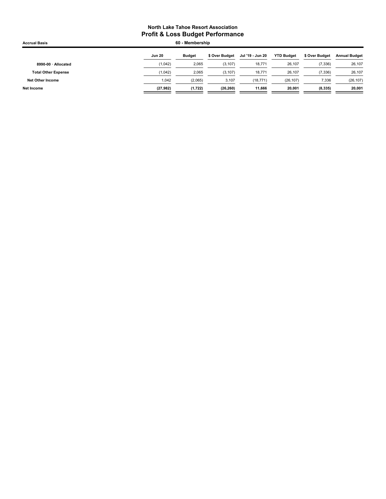| <b>Jun 20</b> | <b>Budget</b> | \$ Over Budget | Jul '19 - Jun 20 | <b>YTD Budget</b> | \$ Over Budget | <b>Annual Budget</b> |
|---------------|---------------|----------------|------------------|-------------------|----------------|----------------------|
| (1,042)       | 2,065         | (3, 107)       | 18,771           | 26,107            | (7, 336)       | 26,107               |
| (1,042)       | 2,065         | (3, 107)       | 18,771           | 26,107            | (7, 336)       | 26,107               |
| 1,042         | (2,065)       | 3,107          | (18, 771)        | (26, 107)         | 7,336          | (26, 107)            |
| (27, 982)     | (1,722)       | (26, 260)      | 11.666           | 20.001            | (8, 335)       | 20,001               |
|               |               |                | 60 - Membership  |                   |                |                      |